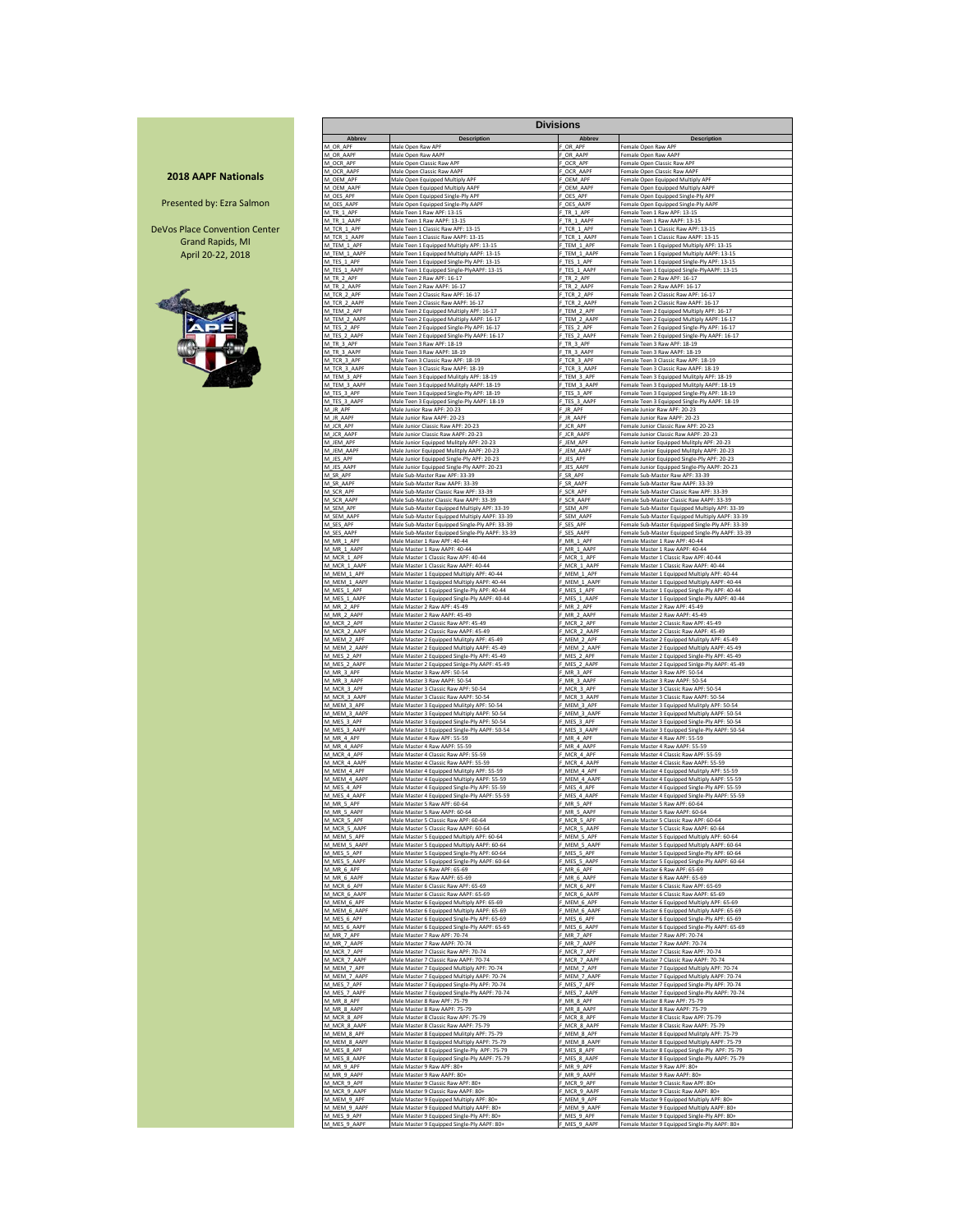### **2018 AAPF Nationals**

Presented by: Ezra Salmon

DeVos Place Convention Center Grand Rapids, MI April 20-22, 2018



|                             |                                                                                         | <b>Divisions</b>          |                                                                                             |  |
|-----------------------------|-----------------------------------------------------------------------------------------|---------------------------|---------------------------------------------------------------------------------------------|--|
| Abbrev                      | <b>Description</b>                                                                      | Abbrev                    | <b>Description</b>                                                                          |  |
| M OR APE                    | Male Open Raw APF                                                                       | F_OR_APF                  | Female Open Raw APF                                                                         |  |
| M_OR_AAPF                   | Male Open Raw AAPF                                                                      | F_OR_AAPF                 | Female Open Raw AAPF                                                                        |  |
| M OCR APF                   | Male Open Classic Raw APF                                                               | OCR APF                   | Female Open Classic Raw APF                                                                 |  |
| M OCR AAPF                  | Male Open Classic Raw AAPF                                                              | F OCR AAPR                | Female Open Classic Raw AAPF                                                                |  |
| M OFM APF                   | Male Open Equipped Multiply APF                                                         | F OEM APF                 | Female Open Equipped Multiply APF                                                           |  |
| M_OEM_AAPF                  | Male Open Equipped Multiply AAPF                                                        | F_OEM_AAPF                | Female Open Equipped Multiply AAPF                                                          |  |
| M OES APF                   | Male Open Equipped Single-Ply APF                                                       | OES APF<br>F OES AAPF     | Female Open Equipped Single-Ply APF                                                         |  |
| M_OES_AAPF<br>M TR 1 APF    | Male Open Equipped Single-Ply AAPF<br>Male Teen 1 Raw APF: 13-15                        | F TR 1 APF                | Female Open Equipped Single-Ply AAPF<br>Female Teen 1 Raw APF: 13-15                        |  |
| M_TR_1_AAPF                 | Male Teen 1 Raw AAPF: 13-15                                                             | F_TR_1_AAPF               | Female Teen 1 Raw AAPF: 13-15                                                               |  |
| M_TCR_1_APF                 | Male Teen 1 Classic Raw APF: 13-15                                                      | F_TCR_1_APF               | Female Teen 1 Classic Raw APF: 13-15                                                        |  |
| M_TCR_1_AAPF                | Male Teen 1 Classic Raw AAPF: 13-15                                                     | F_TCR_1_AAPF              | Female Teen 1 Classic Raw AAPF: 13-15                                                       |  |
| M_TEM_1_APF                 | Male Teen 1 Equipped Multiply APF: 13-15                                                | F_TEM_1_APF               | Female Teen 1 Equipped Multiply APF: 13-15                                                  |  |
| M_TEM_1_AAPF                | Male Teen 1 Equipped Multiply AAPF: 13-15                                               | F_TEM_1_AAPF              | Female Teen 1 Equipped Multiply AAPF: 13-15                                                 |  |
| M_TES_1_APF                 | Male Teen 1 Equipped Single-Ply APF: 13-15                                              | F_TES_1_APF               | Female Teen 1 Equipped Single-Ply APF: 13-15                                                |  |
| M_TES_1_AAPF                | Male Teen 1 Equipped Single-PlyAAPF: 13-15                                              | TES_1_AAPR                | Female Teen 1 Equipped Single-PlyAAPF: 13-15                                                |  |
| M_TR_2_APF                  | Male Teen 2 Raw APF: 16-17                                                              | F TR 2 APF                | Female Teen 2 Raw APF: 16-17                                                                |  |
| M_TR_2_AAPF                 | Male Teen 2 Raw AAPF: 16-17                                                             | F_TR_2_AAPF               | Female Teen 2 Raw AAPF: 16-17                                                               |  |
| M_TCR_2_APF                 | Male Teen 2 Classic Raw APF: 16-17                                                      | F_TCR_2_APF               | Female Teen 2 Classic Raw APF: 16-17                                                        |  |
| M_TCR_2_AAPF                | Male Teen 2 Classic Raw AAPF: 16-17                                                     | TCR 2 AAPF                | Female Teen 2 Classic Raw AAPF: 16-17                                                       |  |
| M_TEM_2_APF                 | Male Teen 2 Equipped Multiply APF: 16-17                                                | F_TEM_2_APF               | Female Teen 2 Equipped Multiply APF: 16-17                                                  |  |
| M_TEM_2_AAPF                | Male Teen 2 Equipped Multiply AAPF: 16-17                                               | F_TEM_2_AAPF              | Female Teen 2 Equipped Multiply AAPF: 16-17                                                 |  |
| M_TES_2_APF                 | Male Teen 2 Equipped Single-Ply APF: 16-17                                              | TES_2_APF                 | Female Teen 2 Equipped Single-Ply APF: 16-17                                                |  |
| M_TES_2_AAPR                | Male Teen 2 Equipped Single-Ply AAPF: 16-17                                             | TES_2_AAPR                | Female Teen 2 Equipped Single-Ply AAPF: 16-17                                               |  |
| M_TR_3_APF                  | Male Teen 3 Raw APF: 18-19                                                              | TR 3 APF                  | Female Teen 3 Raw APF: 18-19                                                                |  |
| M TR 3 AAPF                 | Male Teen 3 Raw AAPF: 18-19                                                             | F TR 3 AAPF               | Female Teen 3 Raw AAPF: 18-19                                                               |  |
| M_TCR_3_APF                 | Male Teen 3 Classic Raw APF: 18-19                                                      | F_TCR_3_APF               | Female Teen 3 Classic Raw APF: 18-19                                                        |  |
| M_TCR_3_AAPF                | Male Teen 3 Classic Raw AAPF: 18-19                                                     | TCR 3 AAPF                | Female Teen 3 Classic Raw AAPF: 18-19                                                       |  |
| M_TEM_3_APF                 | Male Teen 3 Equipped Mulitply APF: 18-19                                                | F_TEM_3_APF               | Female Teen 3 Equipped Mulitply APF: 18-19                                                  |  |
| M_TEM_3_AAPF                | Male Teen 3 Equipped Mulitply AAPF: 18-19                                               | F_TEM_3_AAPF              | Female Teen 3 Equipped Mulitply AAPF: 18-19                                                 |  |
| M_TES_3_APF                 | Male Teen 3 Equipped Single-Ply APF: 18-19                                              | F_TES_3_APF               | Female Teen 3 Equipped Single-Ply APF: 18-19                                                |  |
| M_TES_3_AAPF                | Male Teen 3 Equipped Single-Ply AAPF: 18-19                                             | TES_3_AAPF                | Female Teen 3 Equipped Single-Ply AAPF: 18-19                                               |  |
| M_JR_APF                    | Male Junior Raw APF: 20-23                                                              | F_JR_APF                  | Female Junior Raw APF: 20-23                                                                |  |
| M_JR_AAPF                   | Male Junior Raw AAPF: 20-23                                                             | F_JR_AAPF                 | Female Junior Raw AAPF: 20-23                                                               |  |
| M_JCR_APF                   | Male Junior Classic Raw APF: 20-23                                                      | F_JCR_APF                 | Female Junior Classic Raw APF: 20-23                                                        |  |
| M_JCR_AAPF                  | Male Junior Classic Raw AAPF: 20-23                                                     | F_JCR_AAPF                | Female Junior Classic Raw AAPF: 20-23                                                       |  |
| M_JEM_APF                   | Male Junior Equipped Mulitply APF: 20-23                                                | F_JEM_APF                 | Female Junior Equipped Mulitply APF: 20-23                                                  |  |
| M_JEM_AAPF                  | Male Junior Equipped Mulitply AAPF: 20-23                                               | F_JEM_AAP                 | Female Junior Equipped Mulitply AAPF: 20-23                                                 |  |
| M_JES_APF                   | Male Junior Equipped Single-Ply APF: 20-23                                              | F_JES_APF                 | Female Junior Equipped Single-Ply APF: 20-23                                                |  |
| M_JES_AAPF                  | Male Junior Equipped Single-Ply AAPF: 20-23                                             | F_JES_AAPF                | Female Junior Equipped Single-Ply AAPF: 20-23                                               |  |
| M_SR_APF                    | Male Sub-Master Raw APF: 33-39                                                          | F_SR_APF                  | Female Sub-Master Raw APF: 33-39                                                            |  |
| M_SR_AAPF                   | Male Sub-Master Raw AAPF: 33-39                                                         | F_SR_AAPF                 | Female Sub-Master Raw AAPF: 33-39                                                           |  |
| M SCR APF                   | Male Sub-Master Classic Raw APF: 33-39                                                  | F_SCR_APF                 | Female Sub-Master Classic Raw APF: 33-39                                                    |  |
| M_SCR_AAPF                  | Male Sub-Master Classic Raw AAPF: 33-39                                                 | F_SCR_AAPF                | Female Sub-Master Classic Raw AAPF: 33-39                                                   |  |
| M SEM APF                   | Male Sub-Master Equipped Multiply APF: 33-39                                            | F SEM APF                 | Female Sub-Master Equipped Multiply APF: 33-39                                              |  |
| M_SEM_AAPF                  | Male Sub-Master Equipped Multiply AAPF: 33-39                                           | F_SEM_AAPF                | Female Sub-Master Equipped Multiply AAPF: 33-39                                             |  |
| M_SES_APF                   | Male Sub-Master Equipped Single-Ply APF: 33-39                                          | F_SES_APF                 | Female Sub-Master Equipped Single-Ply APF: 33-39                                            |  |
| M_SES_AAPF                  | Male Sub-Master Equipped Single-Ply AAPF: 33-39                                         | SES_AAPF                  | Female Sub-Master Equipped Single-Ply AAPF: 33-39                                           |  |
| M_MR_1_APF                  | Male Master 1 Raw APF: 40-44                                                            | MR <sub>1</sub> APF       | Female Master 1 Raw APF: 40-44                                                              |  |
| M_MR_1_AAPF                 | Male Master 1 Raw AAPF: 40-44                                                           | F_MR_1_AAPF               | Female Master 1 Raw AAPF: 40-44                                                             |  |
| M MCR 1 APF                 | Male Master 1 Classic Raw APF: 40-44                                                    | F MCR 1 APF               | Female Master 1 Classic Raw APF: 40-44                                                      |  |
| M_MCR_1_AAPF                | Male Master 1 Classic Raw AAPF: 40-44                                                   | F_MCR_1_AAPF              | Female Master 1 Classic Raw AAPF: 40-44                                                     |  |
| M_MEM_1_APF                 | Male Master 1 Equipped Multiply APF: 40-44                                              | MEM 1 APF                 | Female Master 1 Equipped Multiply APF: 40-44                                                |  |
| M_MEM_1_AAPR                | Male Master 1 Equipped Multiply AAPF: 40-44                                             | F_MEM_1_AAPF              | Female Master 1 Equipped Multiply AAPF: 40-44                                               |  |
| M_MES_1_APF                 | Male Master 1 Equipped Single-Ply APF: 40-44                                            | F MES 1 APF               | Female Master 1 Equipped Single-Ply APF: 40-44                                              |  |
| M_MES_1_AAPF                | Male Master 1 Equipped Single-Ply AAPF: 40-44                                           | F_MES_1_AAPF              | Female Master 1 Equipped Single-Ply AAPF: 40-44                                             |  |
| M_MR_2_APF                  | Male Master 2 Raw APF: 45-49                                                            | MR_2_APF                  | Female Master 2 Raw APF: 45-49                                                              |  |
| M_MR_2_AAPF                 | Male Master 2 Raw AAPF: 45-49                                                           | F_MR_2_AAPF               | Female Master 2 Raw AAPF: 45-49                                                             |  |
| M_MCR_2_APF                 | Male Master 2 Classic Raw APF: 45-49                                                    | F_MCR_2_APF               | Female Master 2 Classic Raw APF: 45-49                                                      |  |
| M_MCR_2_AAPF                | Male Master 2 Classic Raw AAPF: 45-49                                                   | F_MCR_2_AAPF              | Female Master 2 Classic Raw AAPF: 45-49                                                     |  |
| M_MEM_2_APF                 | Male Master 2 Equipped Mulitply APF: 45-49                                              | F_MEM_2_APF               | Female Master 2 Equipped Mulitply APF: 45-49                                                |  |
| M_MEM_2_AAPR                | Male Master 2 Equipped Multiply AAPF: 45-49                                             | F_MEM_2_AAPF              | Female Master 2 Equipped Multiply AAPF: 45-49                                               |  |
| M_MES_2_APF                 | Male Master 2 Equipped Single-Ply APF: 45-49                                            | F_MES_2_APF               | Female Master 2 Equipped Single-Ply APF: 45-49                                              |  |
| M_MES_2_AAPF                | Male Master 2 Equipped Sinlge-Ply AAPF: 45-49                                           | F_MES_2_AAPF              | Female Master 2 Equipped Sinlge-Ply AAPF: 45-49                                             |  |
| M_MR_3_APF                  | Male Master 3 Raw APF: 50-54                                                            | F_MR_3_APF                | Female Master 3 Raw APF: 50-54                                                              |  |
| M_MR_3_AAPF                 | Male Master 3 Raw AAPF: 50-54                                                           | F_MR_3_AAPF               | Female Master 3 Raw AAPF: 50-54                                                             |  |
| M_MCR_3_APF                 | Male Master 3 Classic Raw APF: 50-54                                                    | F_MCR_3_APF               | Female Master 3 Classic Raw APF: 50-54                                                      |  |
| M_MCR_3_AAPF                | Male Master 3 Classic Raw AAPF: 50-54                                                   | F_MCR_3_AAPF              | Female Master 3 Classic Raw AAPF: 50-54                                                     |  |
| M_MEM_3_APF                 | Male Master 3 Equipped Mulitply APF: 50-54                                              | MEM_3_APF                 | Female Master 3 Equipped Mulitply APF: 50-54                                                |  |
| M_MEM_3_AAPR                | Male Master 3 Equipped Multiply AAPF: 50-54                                             | MEM_3_AAPF                | Female Master 3 Equipped Multiply AAPF: 50-54                                               |  |
| M_MES_3_APF                 | Male Master 3 Equipped Single-Ply APF: 50-54                                            | F_MES_3_APF               | Female Master 3 Equipped Single-Ply APF: 50-54                                              |  |
| M_MES_3_AAPF                | Male Master 3 Equipped Single-Ply AAPF: 50-54                                           | F_MES_3_AAPF              | Female Master 3 Equipped Single-Ply AAPF: 50-54                                             |  |
| M MR 4 APF                  | Male Master 4 Raw APF: 55-59                                                            | F_MR_4_APF                | Female Master 4 Raw APF: 55-59                                                              |  |
| M MR 4 AAPF                 | Male Master 4 Raw AAPF: 55-59                                                           | F_MR_4_AAPF               | Female Master 4 Raw AAPF: 55-59                                                             |  |
| M_MCR_4_APF                 | Male Master 4 Classic Raw APF: 55-59                                                    | F_MCR_4_APF               | Female Master 4 Classic Raw APF: 55-59                                                      |  |
| M MCR 4 AAPF                | Male Master 4 Classic Raw AAPF: 55-59                                                   | F MCR 4 AAPF              | Female Master 4 Classic Raw AAPF: 55-59                                                     |  |
| M_MEM_4_APF                 | Male Master 4 Equipped Mulitply APF: 55-59                                              | F_MEM_4_APF               | Female Master 4 Equipped Mulitply APF: 55-59                                                |  |
| M_MEM_4_AAPR                | Male Master 4 Equipped Multiply AAPF: 55-59                                             | MEM 4 AAPF                | Female Master 4 Equipped Multiply AAPF: 55-59                                               |  |
| M_MES_4_APF                 | Male Master 4 Equipped Single-Ply APF: 55-59                                            | F_MES_4_APF               | Female Master 4 Equipped Single-Ply APF: 55-59                                              |  |
| M_MES_4_AAPF                | Male Master 4 Equipped Single-Ply AAPF: 55-59                                           | F_MES_4_AAPF              | Female Master 4 Equipped Single-Ply AAPF: 55-59                                             |  |
| M_MR_5_APF                  | Male Master 5 Raw APF: 60-64                                                            | F_MR_5_APF                | Female Master 5 Raw APF: 60-64                                                              |  |
| M_MR_5_AAPF                 | Male Master 5 Raw AAPF: 60-64                                                           | F_MR_5_AAPF               | Female Master 5 Raw AAPF: 60-64                                                             |  |
| M<br>АΡ<br>M_MCR_5_AAPF     | 5 Classic Raw APF<br>Male Master 5 Classic Raw AAPF: 60-64                              | F MCR 5 AAPF              | Master<br>-emale<br>5 Classic Raw APF<br>Female Master 5 Classic Raw AAPF: 60-64            |  |
| M_MEM_5_APF                 | Male Master 5 Equipped Multiply APF: 60-64                                              | F_MEM_5_APF               | Female Master 5 Equipped Multiply APF: 60-64                                                |  |
| M MEM 5 AAPF                | Male Master 5 Equipped Multiply AAPF: 60-64                                             | F MEM 5 AAPF              | Female Master 5 Equipped Multiply AAPF: 60-64                                               |  |
| M_MES_5_APF                 | Male Master 5 Equipped Single-Ply APF: 60-64                                            | F_MES_5_APF               | Female Master 5 Equipped Single-Ply APF: 60-64                                              |  |
| M_MES_5_AAPF                | Male Master 5 Equipped Single-Ply AAPF: 60-64                                           | F_MES_5_AAPF              | Female Master 5 Equipped Single-Ply AAPF: 60-64                                             |  |
| M_MR_6_APF                  | Male Master 6 Raw APF: 65-69                                                            | F_MR_6_APF                | Female Master 6 Raw APF: 65-69                                                              |  |
| M_MR_6_AAPF                 | Male Master 6 Raw AAPF: 65-69                                                           | F MR 6 AAPF               | Female Master 6 Raw AAPF: 65-69                                                             |  |
| M_MCR_6_APF                 | Male Master 6 Classic Raw APF: 65-69                                                    | F_MCR_6_APF               | Female Master 6 Classic Raw APF: 65-69                                                      |  |
| M_MCR_6_AAPF                | Male Master 6 Classic Raw AAPF: 65-69                                                   | F MCR 6 AAPF              | Female Master 6 Classic Raw AAPF: 65-69                                                     |  |
| M_MEM_6_APF                 | Male Master 6 Equipped Multiply APF: 65-69                                              | F_MEM_6_APF               | Female Master 6 Equipped Multiply APF: 65-69                                                |  |
| M_MEM_6_AAPF                | Male Master 6 Equipped Multiply AAPF: 65-69                                             | MEM_6_AAPF                | Female Master 6 Equipped Multiply AAPF: 65-69                                               |  |
| M MES_6_APF                 | Male Master 6 Equipped Single-Ply APF: 65-69                                            | MES 6 APF                 | Female Master 6 Equipped Single-Ply APF: 65-69                                              |  |
| M_MES_6_AAPF                | Male Master 6 Equipped Single-Ply AAPF: 65-69                                           | F MES 6 AAPF              | Female Master 6 Equipped Single-Ply AAPF: 65-69                                             |  |
| M_MR_7_APF                  | Male Master 7 Raw APF: 70-74                                                            | F MR 7 APF                | Female Master 7 Raw APF: 70-74                                                              |  |
| M MR 7 AAPF                 | Male Master 7 Raw AAPF: 70-74                                                           | F_MR_7_AAPF               | Female Master 7 Raw AAPF: 70-74                                                             |  |
| M_MCR_7_APF                 | Male Master 7 Classic Raw APF: 70-74                                                    | F_MCR_7_APF               | Female Master 7 Classic Raw APF: 70-74                                                      |  |
| M_MCR_7_AAPF                | Male Master 7 Classic Raw AAPF: 70-74                                                   | F_MCR_7_AAPF              | Female Master 7 Classic Raw AAPF: 70-74                                                     |  |
| M MEM 7 APF                 | Male Master 7 Equipped Multiply APF: 70-74                                              | F MEM 7 APF               | Female Master 7 Equipped Multiply APF: 70-74                                                |  |
| M MEM 7 AAPF                | Male Master 7 Equipped Multiply AAPF: 70-74                                             | F_MEM_7_AAPF              | Female Master 7 Equipped Multiply AAPF: 70-74                                               |  |
| M_MES_7_APF                 | Male Master 7 Equipped Single-Ply APF: 70-74                                            | F_MES_7_APF               | Female Master 7 Equipped Single-Ply APF: 70-74                                              |  |
| M_MES_7_AAPF                | Male Master 7 Equipped Single-Ply AAPF: 70-74                                           | F MES 7 AAPF              | Female Master 7 Equipped Single-Ply AAPF: 70-74                                             |  |
| M_MR_8_APF                  | Male Master 8 Raw APF: 75-79                                                            | F_MR_8_APF                | Female Master 8 Raw APF: 75-79                                                              |  |
| M_MR_8_AAPF                 | Male Master 8 Raw AAPF: 75-79                                                           | F_MR_8_AAPF               | Female Master 8 Raw AAPF: 75-79                                                             |  |
| M MCR 8 APF                 | Male Master 8 Classic Raw APF: 75-79                                                    | F MCR 8 APF               | Female Master 8 Classic Raw APF: 75-79                                                      |  |
| M MCR 8 AAPF                | Male Master 8 Classic Raw AAPF: 75-79                                                   | F MCR 8 AAPF              | Female Master 8 Classic Raw AAPF: 75-79                                                     |  |
| M_MEM_8_APF                 | Male Master 8 Equipped Mulitply APF: 75-79                                              | F_MEM_8_APF               | Female Master 8 Equipped Mulitply APF: 75-79                                                |  |
| M_MEM_8_AAPF                | Male Master 8 Equipped Multiply AAPF: 75-79                                             | F_MEM_8_AAPF              | Female Master 8 Equipped Multiply AAPF: 75-79                                               |  |
| M_MES_8_APF                 | Male Master 8 Equipped Single-Ply APF: 75-79                                            | F_MES_8_APF               | Female Master 8 Equipped Single-Ply APF: 75-79                                              |  |
| M MES 8 AAPR                | Male Master 8 Equipped Single-Ply AAPF: 75-79                                           | F MES 8 AAPF              | Female Master 8 Equipped Single-Ply AAPF: 75-79                                             |  |
| M MR 9 APF                  | Male Master 9 Raw APF: 80+                                                              | F_MR_9_APF                | Female Master 9 Raw APF: 80+                                                                |  |
| M_MR_9_AAPF                 | Male Master 9 Raw AAPF: 80+                                                             | F_MR_9_AAPF               | Female Master 9 Raw AAPF: 80+                                                               |  |
| M_MCR_9_APF                 | Male Master 9 Classic Raw APF: 80+                                                      | MCR_9_APF                 | Female Master 9 Classic Raw APF: 80+                                                        |  |
| M_MCR_9_AAPF                | Male Master 9 Classic Raw AAPF: 80+                                                     | MCR_9_AAPF                | Female Master 9 Classic Raw AAPF: 80+                                                       |  |
| M MEM 9 APF                 | Male Master 9 Equipped Multiply APF: 80+                                                | MEM_9_APF<br>F MEM 9 AAPF | Female Master 9 Equipped Multiply APF: 80+                                                  |  |
| M_MEM_9_AAPF<br>M_MES_9_APF | Male Master 9 Equipped Multiply AAPF: 80+<br>Male Master 9 Equipped Single-Ply APF: 80+ | F_MES_9_APF               | Female Master 9 Equipped Multiply AAPF: 80+<br>Female Master 9 Equipped Single-Ply APF: 80+ |  |
| M MES 9 AAPF                | Male Master 9 Equipped Single-Ply AAPF: 80+                                             | F MES 9 AAPF              | Female Master 9 Equipped Single-Ply AAPF: 80+                                               |  |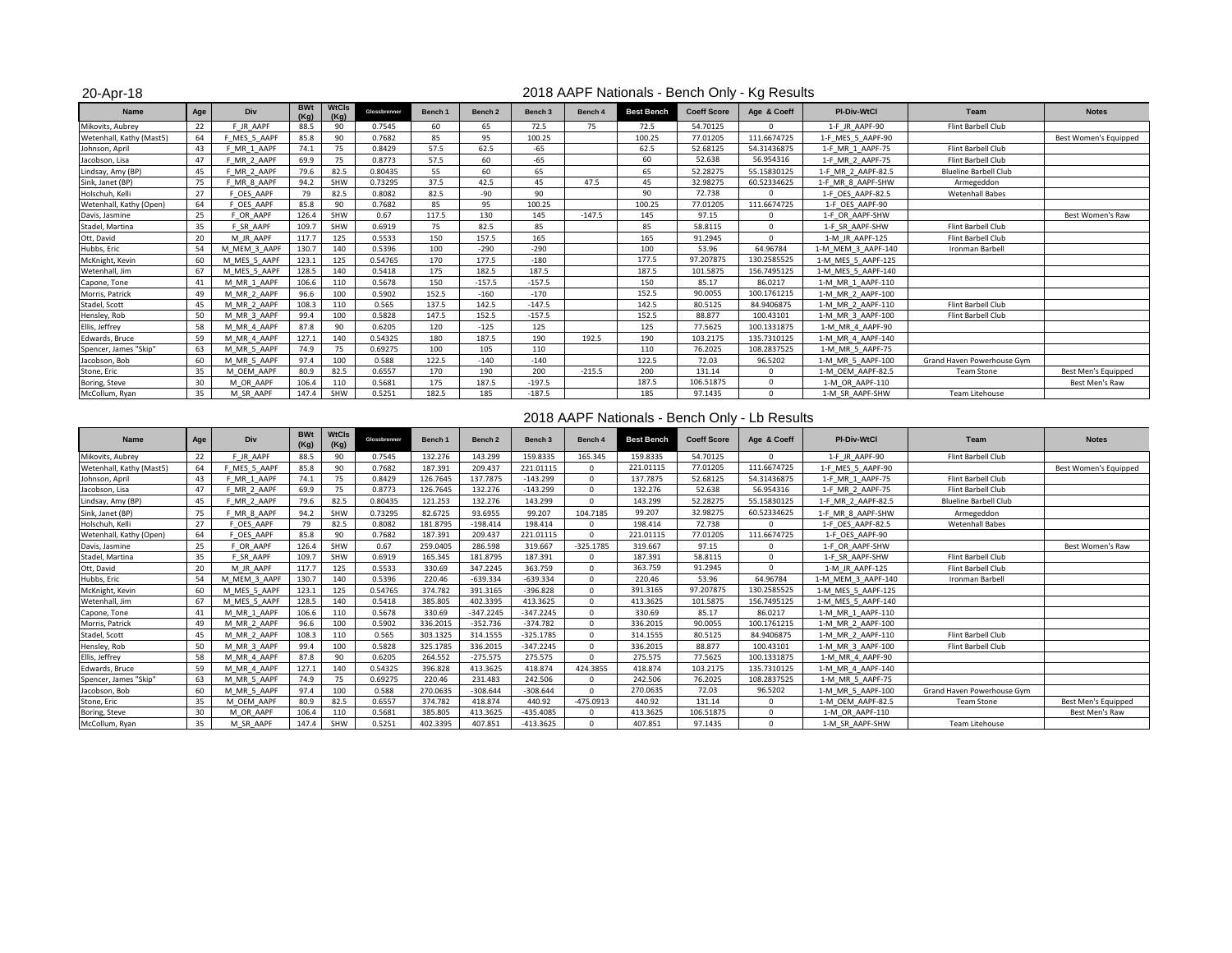20-Apr-18

### 2018 AAPF Nationals - Bench Only - Kg Results

| <b>Name</b>              | Age | Div                  | <b>BWt</b><br>(Ka) | <b>WtCls</b><br>(Ka) | Glossbrenner | Bench 1 | Bench 2  | Bench <sub>3</sub> | Bench 4  | <b>Best Bench</b> | <b>Coeff Score</b> | Age & Coeff | <b>PI-Div-WtCl</b> | Team                         | <b>Notes</b>          |
|--------------------------|-----|----------------------|--------------------|----------------------|--------------|---------|----------|--------------------|----------|-------------------|--------------------|-------------|--------------------|------------------------------|-----------------------|
| Mikovits, Aubrey         | 22  | F JR AAPF            | 88.5               | 90                   | 0.7545       | 60      | 65       | 72.5               | 75       | 72.5              | 54.70125           | $\Omega$    | 1-F JR AAPF-90     | Flint Barbell Club           |                       |
| Wetenhall, Kathy (Mast5) | 64  | MES 5 AAPF           | 85.8               | 90                   | 0.7682       | 85      | 95       | 100.25             |          | 100.25            | 77.01205           | 111.6674725 | 1-F MES 5 AAPF-90  |                              | Best Women's Equipped |
| Johnson, April           | 43  | MR <sub>1</sub> AAPF | 74.1               | 75                   | 0.8429       | 57.5    | 62.5     | $-65$              |          | 62.5              | 52.68125           | 54.31436875 | 1-F MR 1 AAPF-75   | Flint Barbell Club           |                       |
| Jacobson, Lisa           | 47  | MR <sub>2</sub> AAPF | 69.9               | 75                   | 0.8773       | 57.5    | 60       | $-65$              |          | 60                | 52.638             | 56.954316   | 1-F MR 2 AAPF-75   | Flint Barbell Club           |                       |
| Lindsay, Amy (BP)        | 45  | MR 2 AAPF            | 79.6               | 82.5                 | 0.80435      | 55      | 60       | 65                 |          | 65                | 52.28275           | 55.15830125 | 1-F MR 2 AAPF-82.5 | <b>Blueline Barbell Club</b> |                       |
| Sink, Janet (BP)         | 75  | MR 8 AAPF            | 94.2               | SHW                  | 0.73295      | 37.5    | 42.5     | 45                 | 47.5     | 45                | 32.98275           | 60.52334625 | 1-F MR 8 AAPF-SHW  | Armegeddon                   |                       |
| Holschuh, Kelli          | 27  | <b>DES AAPF</b>      | 79                 | 82.5                 | 0.8082       | 82.5    | $-90$    | 90                 |          | 90                | 72.738             | $\Omega$    | 1-F OES AAPF-82.5  | <b>Wetenhall Babes</b>       |                       |
| Wetenhall, Kathy (Open)  | 64  | OES AAPF             | 85.8               | 90                   | 0.7682       | 85      | 95       | 100.25             |          | 100.25            | 77.01205           | 111.6674725 | 1-F OES AAPF-90    |                              |                       |
| Davis, Jasmine           | 25  | F OR AAPF            | 126.4              | SHW                  | 0.67         | 117.5   | 130      | 145                | $-147.5$ | 145               | 97.15              | $\mathbf 0$ | 1-F OR AAPF-SHW    |                              | Best Women's Raw      |
| Stadel, Martina          | 35  | F SR AAPF            | 109.7              | SHW                  | 0.6919       | 75      | 82.5     | 85                 |          | 85                | 58.8115            | $\Omega$    | 1-F SR AAPF-SHW    | Flint Barbell Club           |                       |
| Ott, David               | 20  | M JR AAPF            | 117.7              | 125                  | 0.5533       | 150     | 157.5    | 165                |          | 165               | 91.2945            | $\mathbf 0$ | 1-M JR AAPF-125    | Flint Barbell Club           |                       |
| Hubbs, Eric              | 54  | M MEM 3 AAPF         | 130.7              | 140                  | 0.5396       | 100     | $-290$   | $-290$             |          | 100               | 53.96              | 64.96784    | 1-M MEM 3 AAPF-140 | Ironman Barbell              |                       |
| McKnight, Kevin          | 60  | M MES 5 AAPF         | 123.1              | 125                  | 0.54765      | 170     | 177.5    | $-180$             |          | 177.5             | 97.207875          | 130.2585525 | 1-M MES 5 AAPF-125 |                              |                       |
| Wetenhall, Jim           | 67  | M MES 5 AAPF         | 128.5              | 140                  | 0.5418       | 175     | 182.5    | 187.5              |          | 187.5             | 101.5875           | 156.7495125 | 1-M MES 5 AAPF-140 |                              |                       |
| Capone, Tone             | 41  | M MR 1 AAPF          | 106.6              | 110                  | 0.5678       | 150     | $-157.5$ | $-157.5$           |          | 150               | 85.17              | 86.0217     | 1-M MR 1 AAPF-110  |                              |                       |
| Morris, Patrick          | 49  | M MR 2 AAPF          | 96.6               | 100                  | 0.5902       | 152.5   | $-160$   | $-170$             |          | 152.5             | 90.0055            | 100.1761215 | 1-M MR 2 AAPF-100  |                              |                       |
| Stadel, Scott            | 45  | M MR 2 AAPF          | 108.3              | 110                  | 0.565        | 137.5   | 142.5    | $-147.5$           |          | 142.5             | 80.5125            | 84.9406875  | 1-M MR 2 AAPF-110  | Flint Barbell Club           |                       |
| Hensley, Rob             | 50  | M MR 3 AAPF          | 99.4               | 100                  | 0.5828       | 147.5   | 152.5    | $-157.5$           |          | 152.5             | 88.877             | 100.43101   | 1-M MR 3 AAPF-100  | Flint Barbell Club           |                       |
| Ellis, Jeffrey           | 58  | M MR 4 AAPF          | 87.8               | 90                   | 0.6205       | 120     | $-125$   | 125                |          | 125               | 77.5625            | 100.1331875 | 1-M MR 4 AAPF-90   |                              |                       |
| Edwards, Bruce           | 59  | M MR 4 AAPF          | 127.1              | 140                  | 0.54325      | 180     | 187.5    | 190                | 192.5    | 190               | 103.2175           | 135.7310125 | 1-M MR 4 AAPF-140  |                              |                       |
| Spencer, James "Skip"    | 63  | M MR 5 AAPF          | 74.9               | 75                   | 0.69275      | 100     | 105      | 110                |          | 110               | 76.2025            | 108.2837525 | 1-M MR 5 AAPF-75   |                              |                       |
| Jacobson, Bob            | 60  | M MR 5 AAPF          | 97.4               | 100                  | 0.588        | 122.5   | $-140$   | $-140$             |          | 122.5             | 72.03              | 96.5202     | 1-M MR 5 AAPF-100  | Grand Haven Powerhouse Gym   |                       |
| Stone, Eric              | 35  | M OEM AAPF           | 80.9               | 82.5                 | 0.6557       | 170     | 190      | 200                | $-215.5$ | 200               | 131.14             | $\mathbf 0$ | 1-M OEM AAPF-82.5  | <b>Team Stone</b>            | Best Men's Equipped   |
| Boring, Steve            | 30  | M OR AAPF            | 106.4              | 110                  | 0.5681       | 175     | 187.5    | $-197.5$           |          | 187.5             | 106.51875          | $\Omega$    | 1-M OR AAPF-110    |                              | Best Men's Raw        |
| McCollum, Ryan           | 35  | M SR AAPF            | 147.4              | SHW                  | 0.5251       | 182.5   | 185      | $-187.5$           |          | 185               | 97.1435            | $\Omega$    | 1-M SR AAPF-SHW    | Team Litehouse               |                       |

## 2018 AAPF Nationals - Bench Only - Lb Results

| <b>Name</b>              | Age | Div                  | <b>BWt</b><br>(Kg) | <b>WtCls</b><br>(Kg) | Glossbrenner | Bench 1  | Bench <sub>2</sub> | Bench <sub>3</sub> | Bench 4     | <b>Best Bench</b> | <b>Coeff Score</b> | Age & Coeff | PI-Div-WtCl        | Team                         | <b>Notes</b>          |
|--------------------------|-----|----------------------|--------------------|----------------------|--------------|----------|--------------------|--------------------|-------------|-------------------|--------------------|-------------|--------------------|------------------------------|-----------------------|
| Mikovits, Aubrey         | 22  | F JR AAPF            | 88.5               | 90                   | 0.7545       | 132.276  | 143.299            | 159.8335           | 165.345     | 159.8335          | 54.70125           | $\Omega$    | 1-F JR AAPF-90     | Flint Barbell Club           |                       |
| Wetenhall, Kathy (Mast5) | 64  | F MES 5 AAPF         | 85.8               | 90                   | 0.7682       | 187.391  | 209.437            | 221.01115          | $\Omega$    | 221.01115         | 77.01205           | 111.6674725 | 1-F MES 5 AAPF-90  |                              | Best Women's Equipped |
| Johnson, April           | 43  | MR 1 AAPF            | 74.1               | 75                   | 0.8429       | 126.7645 | 137.7875           | $-143.299$         |             | 137.7875          | 52.68125           | 54.31436875 | 1-F MR 1 AAPF-75   | Flint Barbell Club           |                       |
| Jacobson, Lisa           | 47  | F MR 2 AAPF          | 69.9               | 75                   | 0.8773       | 126.7645 | 132.276            | $-143.299$         |             | 132.276           | 52.638             | 56.954316   | 1-F MR 2 AAPF-75   | Flint Barbell Club           |                       |
| Lindsay, Amy (BP)        | 45  | MR <sub>2</sub> AAPF | 79.6               | 82.5                 | 0.80435      | 121.253  | 132.276            | 143.299            |             | 143.299           | 52.28275           | 55.15830125 | 1-F MR 2 AAPF-82.5 | <b>Blueline Barbell Club</b> |                       |
| Sink, Janet (BP)         | 75  | MR 8 AAPF            | 94.2               | SHW                  | 0.73295      | 82.6725  | 93.6955            | 99.207             | 104.7185    | 99.207            | 32.98275           | 60.52334625 | 1-F MR 8 AAPF-SHW  | Armegeddon                   |                       |
| Holschuh, Kelli          | 27  | F OES AAPF           | 79                 | 82.5                 | 0.8082       | 181.8795 | $-198.414$         | 198,414            | $\Omega$    | 198.414           | 72.738             | $\Omega$    | 1-F OES AAPF-82.5  | <b>Wetenhall Babes</b>       |                       |
| Wetenhall, Kathy (Open)  | 64  | F OES AAPF           | 85.8               | 90                   | 0.7682       | 187.391  | 209.437            | 221.01115          |             | 221.01115         | 77.01205           | 111.6674725 | 1-F OES AAPF-90    |                              |                       |
| Davis, Jasmine           | 25  | F OR AAPF            | 126.4              | SHW                  | 0.67         | 259.0405 | 286.598            | 319.667            | $-325.1785$ | 319.667           | 97.15              | $\Omega$    | 1-F OR AAPF-SHW    |                              | Best Women's Raw      |
| Stadel, Martina          | 35  | F SR AAPF            | 109.7              | SHW                  | 0.6919       | 165.345  | 181.8795           | 187.391            |             | 187.391           | 58.8115            | $\Omega$    | 1-F SR AAPF-SHW    | Flint Barbell Club           |                       |
| Ott, David               | 20  | M JR AAPF            | 117.7              | 125                  | 0.5533       | 330.69   | 347.2245           | 363.759            |             | 363.759           | 91.2945            | $\Omega$    | 1-M JR AAPF-125    | Flint Barbell Club           |                       |
| Hubbs, Eric              | 54  | M MEM 3 AAPF         | 130.7              | 140                  | 0.5396       | 220.46   | $-639.334$         | $-639.334$         |             | 220.46            | 53.96              | 64.96784    | 1-M MEM 3 AAPF-140 | <b>Ironman Barbell</b>       |                       |
| McKnight, Kevin          | 60  | M MES 5 AAPF         | 123.1              | 125                  | 0.54765      | 374.782  | 391.3165           | $-396.828$         |             | 391.3165          | 97.207875          | 130.2585525 | 1-M MES 5 AAPF-125 |                              |                       |
| Wetenhall, Jim           | 67  | M MES 5 AAPF         | 128.5              | 140                  | 0.5418       | 385.805  | 402.3395           | 413.3625           | $\Omega$    | 413.3625          | 101.5875           | 156.7495125 | 1-M MES 5 AAPF-140 |                              |                       |
| Capone, Tone             | 41  | M MR 1 AAPF          | 106.6              | 110                  | 0.5678       | 330.69   | $-347.2245$        | $-347.2245$        |             | 330.69            | 85.17              | 86.0217     | 1-M MR 1 AAPF-110  |                              |                       |
| Morris, Patrick          | 49  | M MR 2 AAPF          | 96.6               | 100                  | 0.5902       | 336.2015 | $-352.736$         | $-374.782$         |             | 336.2015          | 90.0055            | 100.1761215 | 1-M MR 2 AAPF-100  |                              |                       |
| Stadel, Scott            | 45  | M MR 2 AAPF          | 108.3              | 110                  | 0.565        | 303.1325 | 314.1555           | $-325.1785$        |             | 314.1555          | 80.5125            | 84.9406875  | 1-M MR 2 AAPF-110  | Flint Barbell Club           |                       |
| Hensley, Rob             | 50  | M MR 3 AAPF          | 99.4               | 100                  | 0.5828       | 325.1785 | 336.2015           | $-347.2245$        |             | 336.2015          | 88.877             | 100.43101   | 1-M MR 3 AAPF-100  | Flint Barbell Club           |                       |
| Ellis, Jeffrey           | 58  | M MR 4 AAPF          | 87.8               | 90                   | 0.6205       | 264.552  | $-275.575$         | 275.575            |             | 275.575           | 77.5625            | 100.1331875 | 1-M MR 4 AAPF-90   |                              |                       |
| Edwards, Bruce           | 59  | M MR 4 AAPF          | 127.1              | 140                  | 0.54325      | 396.828  | 413.3625           | 418.874            | 424.3855    | 418.874           | 103.2175           | 135.7310125 | 1-M MR 4 AAPF-140  |                              |                       |
| Spencer, James "Skip"    | 63  | M MR 5 AAPF          | 74.9               | 75                   | 0.69275      | 220.46   | 231.483            | 242.506            |             | 242.506           | 76.2025            | 108.2837525 | 1-M MR 5 AAPF-75   |                              |                       |
| Jacobson, Bob            | 60  | M MR 5 AAPF          | 97.4               | 100                  | 0.588        | 270.0635 | $-308.644$         | $-308.644$         |             | 270.0635          | 72.03              | 96.5202     | 1-M MR 5 AAPF-100  | Grand Haven Powerhouse Gym   |                       |
| Stone, Eric              | 35  | M OEM AAPF           | 80.9               | 82.5                 | 0.6557       | 374.782  | 418.874            | 440.92             | $-475.0913$ | 440.92            | 131.14             | $\Omega$    | 1-M OEM AAPF-82.5  | <b>Team Stone</b>            | Best Men's Equipped   |
| Boring, Steve            | 30  | M OR AAPF            | 106.4              | 110                  | 0.5681       | 385.805  | 413.3625           | $-435.4085$        |             | 413.3625          | 106.51875          | $\Omega$    | 1-M OR AAPF-110    |                              | Best Men's Raw        |
| McCollum, Ryan           | 35  | M SR AAPF            | 147.4              | SHW                  | 0.5251       | 402.3395 | 407.851            | $-413.3625$        |             | 407.851           | 97.1435            |             | 1-M SR AAPF-SHW    | Team Litehouse               |                       |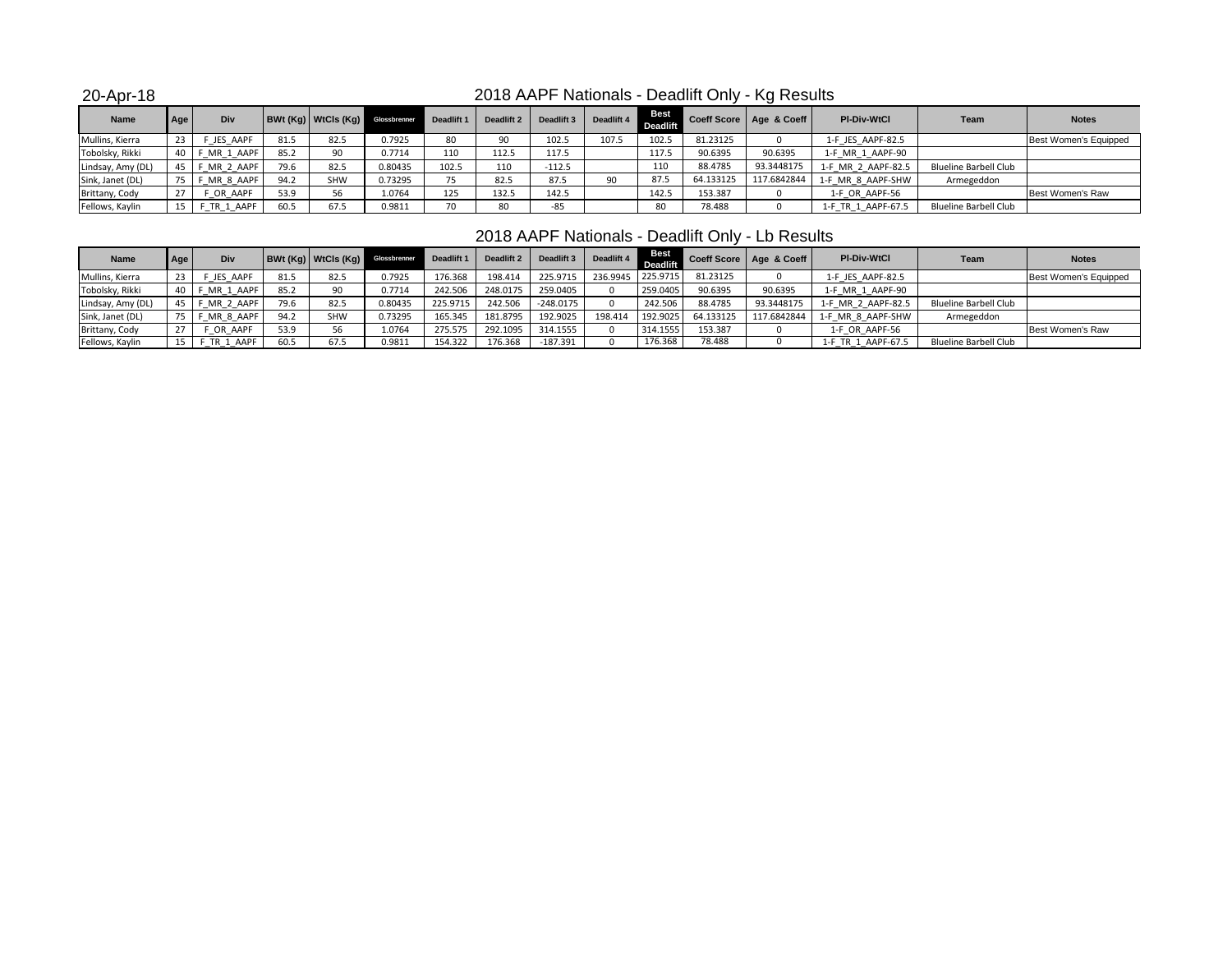20-Apr-18

# 2018 AAPF Nationals - Deadlift Only - Kg Results

| <b>Name</b>       | Age  | Div         |      |            | BWt (Kg)   WtCls (Kg)   Glossbrenner | Deadlift 1 | Deadlift 2 | Deadlift 3 | Deadlift 4 | <b>Best</b><br><b>Deadlift</b> |           | Coeff Score   Age & Coeff | <b>PI-Div-WtCl</b> | Team                  | <b>Notes</b>          |
|-------------------|------|-------------|------|------------|--------------------------------------|------------|------------|------------|------------|--------------------------------|-----------|---------------------------|--------------------|-----------------------|-----------------------|
| Mullins, Kierra   | 23   | F JES AAPF  | 81.5 | 82.5       | 7925.,                               | 80         | ۵n         | 102.5      | 107.5      | 102.5                          | 81.23125  |                           | 1-F JES AAPF-82.5  |                       | Best Women's Equipped |
| Tobolsky, Rikki   | 40 I | F MR 1 AAPF | 85.2 | 90         | 7714.ر                               | 110        | 112.5      | 117.5      |            | 117.5                          | 90.6395   | 90.6395                   | 1-F MR 1 AAPF-90   |                       |                       |
| Lindsay, Amy (DL) | 45 I | F MR 2 AAPF | 79.6 | 82.5       | 0.80435                              | 102.5      | 110        | $-112.5$   |            | 110                            | 88.4785   | 93.3448175                | 1-F MR 2 AAPF-82.5 | Blueline Barbell Club |                       |
| Sink, Janet (DL)  |      | F MR 8 AAPF | 94.2 | <b>SHW</b> | 0.73295                              |            | 82.5       | 87.5       |            | 87.5                           | 64.133125 | 117.6842844               | 1-F MR 8 AAPF-SHW  | Armegeddon            |                       |
| Brittany, Cody    |      | OR AAPF     | 53.9 |            | 1.0764                               | 125        | 132.5      | 142.5      |            | 142.5                          | 153.387   |                           | 1-F OR AAPF-56     |                       | Best Women's Raw      |
| Fellows, Kaylin   | 15   | F TR 1 AAPF | 60.5 | 67.5       | 0.9811                               | 70         | 80         | -85        |            | 80                             | 78.488    |                           | 1-F TR 1 AAPF-67.5 | Blueline Barbell Club |                       |

# 2018 AAPF Nationals - Deadlift Only - Lb Results

| <b>Name</b>       | Age | Div       |      | BWt(Kq) WtCls(Kq) | Glossbrenner | Deadlift 1 | Deadlift 2 | Deadlift 3  | Deadlift 4 | Best<br>eadlift |           | Coeff Score   Age & Coeff | <b>PI-Div-WtCl</b>     | Team                         | <b>Notes</b>          |
|-------------------|-----|-----------|------|-------------------|--------------|------------|------------|-------------|------------|-----------------|-----------|---------------------------|------------------------|------------------------------|-----------------------|
| Mullins, Kierra   |     | JES AAPF  | 81.5 | 82.5              | 0.7925       | 176.368    | 198.414    | 225.9715    | 236.9945   | 225.9715        | 81.23125  |                           | 1-F JES AAPF-82.5      |                              | Best Women's Equipped |
| Tobolsky, Rikki   |     | MR_1_AAPF | 85.2 | 90                | 0.7714       | 242.506    | 248.0175   | 259.0405    |            | 259.0405        | 90.6395   | 90.6395                   | 1-F MR 1 AAPF-90       |                              |                       |
| Lindsay, Amy (DL) |     | MR 2 AAPF | 79.6 | 82.5              | 0.80435      | 225.9715   | 242.506    | $-248.0175$ |            | 242.506         | 88.4785   | 93.3448175                | 1-F MR 2 AAPF-82.5     | <b>Blueline Barbell Club</b> |                       |
| Sink, Janet (DL)  |     | MR 8 AAPF | 94.2 | <b>SHW</b>        | 0.73295      | 165.345    | 181.8795   | 192.9025    | 198.414    | 192.9025        | 64.133125 | 117.6842844               | 1-F MR 8 AAPF-SHW      | Armegeddon                   |                       |
| Brittany, Cody    |     | OR AAPF   | 53.9 | 56                | 1.0764       | 275.575    | 292.1095   | 314.1555    |            | 314.1555        | 153.387   |                           | 1-F OR AAPF-56         |                              | Best Women's Raw      |
| Fellows, Kaylin   |     | TR 1 AAPF | 60.5 | 67.5              | 0.9811       | 154.322    | 176.368    | $-187.391$  |            | 176.368         | 78.488    |                           | TR 1 AAPF-67.5<br>l-H. | <b>Blueline Barbell Club</b> |                       |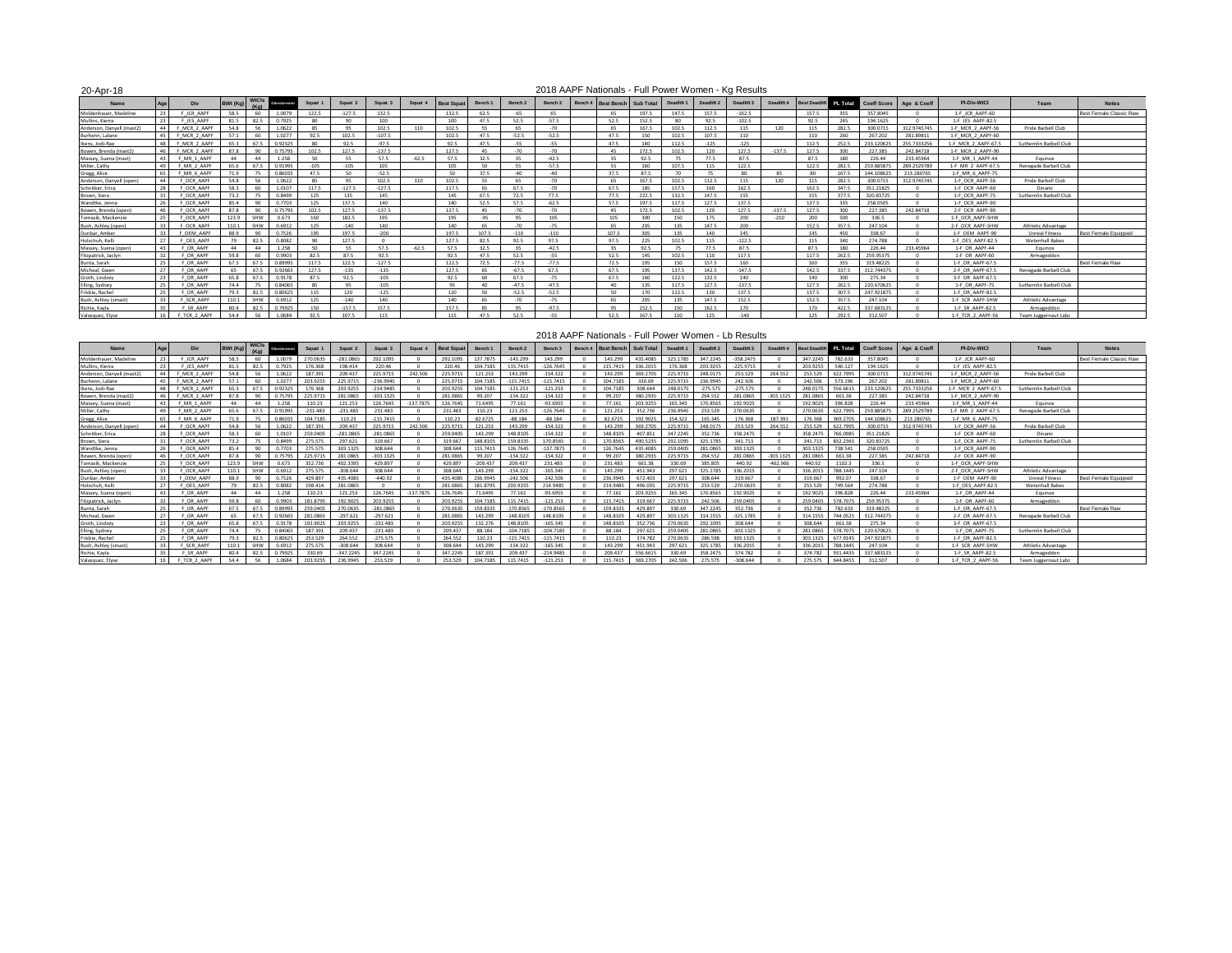| 20-Apr-18                |    |                   |                |              |              |         |          |          |         |                   |         |                    |         | 2018 AAPF Nationals - Full Power Women - Kg Results |                 |            |            |            |            |                      |            |                    |             |                     |                         |                                |
|--------------------------|----|-------------------|----------------|--------------|--------------|---------|----------|----------|---------|-------------------|---------|--------------------|---------|-----------------------------------------------------|-----------------|------------|------------|------------|------------|----------------------|------------|--------------------|-------------|---------------------|-------------------------|--------------------------------|
| Name                     |    | Div               | <b>BWt (Ko</b> | <b>WtCls</b> | Glosabrerner | Squat 1 | Squat 2  | Squat 3  | Squat 4 | <b>Best Squar</b> | Bench 1 | Bench <sub>2</sub> | Bench 3 | Bench 4<br><b>Best Bench</b>                        | Sub Total       | Deadlift 1 | Deadlift 2 | Deadlift 3 | Deadlift 4 | <b>Best Deadlift</b> | PL Total   | <b>Coeff Score</b> | Age & Coeff | PI-Div-WtCl         | Team                    | <b>Notes</b>                   |
| Moldenhauer, Madeline    |    | F JCR AAPF        | 58.5           | 60           | 1.0079       | 122.5   | $-127.5$ | 132.5    |         | 132.5             | 62.5    | $-65$              | 65      | 65                                                  | 197.5           | 147.5      | 157.5      | $-162.5$   |            | 157.5                | 355        | 357,8045           |             | 1-F JCR AAPF-60     |                         | <b>Best Female Classic Raw</b> |
| Mullins, Kierra          | 73 | IFS AAPE          | 81.5           | 82.5         | 0.7925       | 80      | 90       | 100      |         | 100               | 47.5    | 52.5               | $-57.5$ | 52.5                                                | 152.5           | 80         | 92.5       | $-102.5$   |            | 92.5                 | 245        | 194.1625           |             | 1-F JES AAPF-82.5   |                         |                                |
| Anderson, Danvell (mast2 |    | F MCR 2 AAPI      | 54.8           | 5G           | 1.0622       | 85      | 95       | 102.5    | 110     | 102.5             | 55      | 65                 | $-70$   | 65                                                  | 167.5           | 102.5      | 112.5      |            | 120        | 115                  | 282.5      | 300,0715           | 312.9745745 | 1-F MCR 2 AAPF-56   | Pride Barbell Club      |                                |
| Burhenn, Lalane          |    | F MCR 2 AAPE      | 57.1           | 60           | 1.0277       | 92.5    | 1025     | $-1075$  |         | 1025              | 47.5    | $-525$             | $-525$  | 47.5                                                | 150             | 102.5      | 1075       | 110        |            | 110                  | <b>760</b> | 267 202            | 281 89811   | 1-F MCR 2 AAPF-60   |                         |                                |
| Ikens, Jodi-Rae          |    | F MCR 2 AAPF      | 65.3           | 67.5         | 0.9232       | 80      | 92.5     | $-97.5$  |         | 92.5              | 47.5    | $-55$              | $-55$   | 47.5                                                | 140             | 112.5      | $-125$     | $-125$     |            | 112.5                | 252.5      | 233.120625         | 255.7333256 | 1-F MCR 2 AAPF-67.5 | Suthernlin Barbell Club |                                |
| Bowen, Brenda (mast2)    |    | F MCR 2 AAPF      | 87.8           | 90           | 0.75795      | 102.5   | 127.5    | $-137.5$ |         | 127.5             | 45      | $-70$              | $-70$   | 45                                                  | 172.5           | 102.5      | 120        | 127.5      | $-137.5$   | 127.5                | 300        | 227.385            | 242.84718   | 1-F MCR 2 AAPF-90   |                         |                                |
| Massey, Suena (mast)     |    | F MR 1 AAPF       | 44             | 44           | 1.258        | 50      | 55       | 57.5     | $-62.5$ | 57.5              | 32.5    | 35                 | $-42.5$ | 35                                                  | 92.5            | 75         | 77.5       | 87.5       |            | 87.5                 | 180        | 226.44             | 233.45964   | 1-F MR 1 AAPF-44    | Equinox                 |                                |
| Miller, Cathy            |    | F MR 2 AAPF       | 65.6           | 67.5         | 0.91995      | $-105$  | $-105$   | 105      |         | 105               | 50      | 55                 | $-57.5$ | 55                                                  | 160             | 107.5      | 115        | 122.5      |            | 122.5                | 282.5      | 259 885875         | 289 2529789 | 1-F MR 2 AAPF-67    | Renegade Barbell Club   |                                |
| Gregg, Alice             |    | F MR 6 AAPF       | 71.9           | 75           | 0.8603!      | 47.5    | 50       | $-52.5$  |         | 50                | 37.5    | $-40$              | $-40$   | 37.5                                                | 87.5            | 70         | 75         | 80         | 85         | 80                   | 167.5      | 144.108625         | 213.280765  | 1-F MR 6 AAPF-75    |                         |                                |
| Anderson, Danyell (oper  |    | F OCR AAPF        | 54.8           | 56           | 1.0622       | 85      | 95       | 102.5    | 110     | 102.5             | 55      | 65                 | $-70$   | 65                                                  | 167.5           | 102.5      | 112.5      | 115        | 120        | 115                  | 282.5      | 300,0715           | 312.9745745 | 1-F OCR AAPF-56     | Pride Barbell Club      |                                |
| Schnitker, Erica         | 28 | <b>F OCR AAPE</b> | 58.3           | 60           | 1.0107       | 117.5   | $-127.5$ | $-127.5$ |         | 117.5             | 65      | 67.5               | $-70$   | 67.5                                                | 185             | 157.5      | 160        | 162.5      |            | 162.5                | 347.5      | 351.21825          |             | 1-F OCR AAPF-60     | Dinami                  |                                |
| Brown, Siera             |    | F OCR AAPI        | 73.2           |              | 0.8499       | 125     | 135      | 145      |         | 145               | 67.5    | 72.5               | 77.5    | 77.5                                                | 222.5           | 132.5      | 147.5      | 155        |            | 155                  | 3775       | 320.83725          |             | 1-F OCR AAPF-7      | Suthernlin Barbell Club |                                |
| Wandtke, Jenna           |    | F OCR AAPI        | 85.4           | $90^{\circ}$ | 0.7703       | 125     | 1375     | 140      |         | 140               | 52.5    | 57.5               | $-625$  | 57.5                                                | 197.5           | 117.5      | 127.5      | 137.5      |            | 1375                 | 335        | 258.0505           |             | 1-F OCR AAPF-90     |                         |                                |
| Bowen, Brenda (open      |    | F OCR AAPF        | 87.8           | 90           | 0.7579       | 102.5   | 127.5    | $-137.5$ |         | 127.5             | 45      | $-70$              | $-70$   | 45                                                  | 172.5           | 102.5      | 120        | 127.5      | $-137.5$   | 127.5                | 300        | 227.385            | 242.84718   | 2-F OCR AAPF-90     |                         |                                |
| Tomasik, Mackenzie       |    | F OCR AAPI        | 123.9          | SHW          | 0.673        | 160     | 182.5    | 195      |         | 195               | $-95$   | Q5                 | 105     | 105                                                 | $300 -$         | 150        | 175        | 200        | $-210$     | 200                  | 500        | 336.5              |             | 1-F OCR AAPF-SHW    |                         |                                |
| Bush, Ashley (open)      |    | F OCR AAPI        | 110.1          | SHW          | 0.6912       | 125     | $-140$   | 140      |         | 140               | 65      | $-70$              | $-75$   | 65                                                  | 205             | 135        | 147.5      | 200        |            | 152.5                | 357.5      | 247.104            |             | 2-F OCR AAPF-SHW    | Athletic Advantage      |                                |
| Dunbar, Ambe             |    | F OEM AAPF        | 88.9           | $90^{\circ}$ | 0.7526       | 195     | 1975     | $-200$   |         | 197.5             | 107.5   | $-110$             | $-110$  | 107.5                                               | 30 <sup>5</sup> | 135        | 140        | 145        |            | 145                  | 450        | 338.67             |             | 1-F OEM AAPF-90     | <b>Unreal Fitness</b>   | Best Female Equipped           |
| Holschuh, Kelli          | 77 | F OES AAPF        |                | 82.5         | 0.8082       | 90      | 127.5    |          |         | 127.5             | 82.5    | 92.5               | 97.5    | 97.5                                                | 225             | 102.5      | 115        | $-122.5$   |            | 115                  | 340        | 274.788            |             | 1-F OES AAPF-82.5   | Wetenhall Babe:         |                                |
| Massey, Suena (open)     |    | <b>F OR AAPR</b>  | 44             | 44           | 1.258        | 50      | 55.      | 57.5     | $-625$  | 57.5              | 32.5    | 35                 | $-425$  | 35                                                  | 92.5            | 75         | 775        | 87.5       |            | 87.5                 | 180        | 226.44             | 233 45964   | 1-F OR AAPF-44      | Equinox                 |                                |
| Fitzpatrick, Jaclyn      |    | F OR AAPE         | 59 R           | 60           | 0.9903       | 82.5    | 87.5     | 92.5     |         | 92.5              | 47.5    | 52.5               | -55     | 52.5                                                | 145             | 1025       | 110        | 1175       |            | 1175                 | 262.5      | 259 95375          |             | 1-F OR AAPF-60      | Armageddon              |                                |
| Bunta, Sarah             |    | OR AAP            | 67.5           | 67.5         | 0.89999      | 117.5   | 122.5    | $-127.5$ |         | 122.5             | 72.5    | $-77.5$            | $-77.5$ | 72.5                                                |                 | 150        | 157.5      | 160        |            | 160                  | 355        | 319,48225          |             | 1-F OR AAPF-67.5    |                         | <b>Best Female Raw</b>         |
| Micheal, Gwen            |    | F OR AAPE         | 65             | 67.5         | 0.9266       | 127.5   | $-135$   | $-135$   |         | 127.5             | 65      | $-67.5$            | 67.5    | 67.5                                                | 195             | 137.5      | 142.5      | $-147.5$   |            | 1425                 | 337.5      | 312 744375         |             | 2-F OR AAPF-67      | Renegade Barbell Club   |                                |
| Groth, Lindzey           |    | OR AAPF           | 65.8           | 67.5         | 0.9178       | 87.5    | 92.5     | $-105$   |         | 92.5              | 60      | 67.5               | $-75$   | 67.5                                                | 160             | 122.5      | 132.5      | 140        |            | 140                  | 300        | 275.34             |             | 3-F OR AAPF-67.     |                         |                                |
| Elling, Sydney           |    | F OR AAPF         | 74.4           | 75           | 0.84065      | 85      | 95       | $-105$   |         | 95                | 40      | $-47.5$            | $-47.5$ | 40                                                  | 135             | 117.5      | 127.5      | $-137.5$   |            | 127.5                | 262.5      | 220.670625         |             | 1-F OR AAPF-75      | Suthernlin Barhell Club |                                |
| Frisbie, Rachel          |    | OR AAP            | 793            | 825          | 0.80625      | 115     | 120      | $-125$   |         | 120               | 50      | $-525$             | $-525$  | 50                                                  | $170 -$         | 122.5      | 130        | 137.5      |            | 137.5                | 3075       | 247 921875         |             | 1-F OR AAPF-82.     |                         |                                |
| Bush, Ashley (smast      |    | F SCR AAPI        | 110.1          | SHW          | 0.6912       | 125     | $-140$   | 140      |         | 140               | 65      | $-70$              | $-75$   | 65                                                  | 205             | 135        | 147.5      | 152.5      |            | 152.5                | 357.5      | 247.104            |             | 1-F SCR AAPF-SHW    | Athletic Advantage      |                                |
| Richie, Kavla            |    | F SR AAP          | 804            | 82.5         | 0.79925      | 150     | $-157.5$ | 157.5    |         | 157.5             | 85      | 95                 | $-97.5$ | 95                                                  | 252.5           | 150        | 162.5      | 170        |            | 170                  | 422.5      | 337 683125         |             | 1-F SR AAPF-82.     | Armageddon              |                                |
| Valasquez, Elyse         |    | F TCR 2 AAPF      | 54.4           | 56           | 1.0684       | 97.5    | 1075     | 115      |         | 115               | 47.5    | 52.5               | -55.    | 52.5                                                | 167.5           | 110        | 125        | $-140$     |            | 125                  | 292.5      | 312 507            |             | 1-F TCR 2 AAPF-56   | Team Juggernaut Labz    |                                |

### 2018 AAPF Nationals - Full Power Women - Lb Results

| Name                     |    | Div              |       | <b>WtCls</b><br>$(K_0)$ | Glosabrenner | Squat 1    | Squat 2     | Squat 3     | Squat 4     | <b>Best Squat</b> | Bench 1    | Bench <sub>2</sub> | Bench 3     |          | Bench 4 Best Bench Sub Total | <b>Deadlift</b> | Deadlift 2 | Deadlift 3  | Deadlift 4  | <b>Best Deadlift PL Tolal</b> |          |            | Coeff Score Age & Coeff | PI-Div WtCl         | Team                      | <b>Notes</b>                   |
|--------------------------|----|------------------|-------|-------------------------|--------------|------------|-------------|-------------|-------------|-------------------|------------|--------------------|-------------|----------|------------------------------|-----------------|------------|-------------|-------------|-------------------------------|----------|------------|-------------------------|---------------------|---------------------------|--------------------------------|
| Moldenhauer Madeline     |    | F JCR AAPI       | 58.5  | 60                      | 1.007        | 270.0635   | 281.0865    | 292.1095    |             | 292.1095          | 137,7875   | $-143.299$         | 143.299     | 143.299  | 435 4085                     | 325.1785        | 347.2245   | $-358.2475$ |             | 347.2245                      | 782.633  | 357 8045   |                         | 1-F JCR AAPF-60     |                           | <b>Best Female Classic Raw</b> |
| Mullins, Kierra          |    | <b>JES AAPR</b>  |       | 82.5                    | 0.792        | 176,368    | 198.414     | 220.46      |             | 220.46            | 104,7185   | 115.7415           | $-126.7645$ | 115,7415 | 336.201                      | 176,368         | 203.9255   | $-225.9715$ |             | 203.9255                      | 540.127  | 194.1625   |                         | 1-F JES AAPF-82.5   |                           |                                |
| Anderson, Danyell (mast. |    | F MCR 2 AAPE     | 54.8  |                         | 1.062        | 187 391    | 209 437     | 225.9715    | 242 506     | 225.9715          | 121.253    | 143.299            | $-154.322$  | 143.299  | 369 270                      | 225 9715        | 248.0175   | 253,529     | 264.552     | 253.529                       | 622 7995 | 300 0715   | 312 9745745             | 1-F MCR 2 AAPF-56   | Pride Barbell Club        |                                |
| Burhenn, Lalane          | 45 | F MCR 2 AAPE     | 57.1  | 60                      | 1.0277       | 203.9255   | 225.9715    | $-236.9945$ |             | 225.9715          | 104,7185   | $-115.7415$        | $-115.7415$ | 104,7185 | 330.69                       | 225.9715        | 236,9945   | 242,506     |             | 242,506                       | 573.196  | 267.202    | 281.89811               | 1-F MCR 2 AAPF-60   |                           |                                |
| Ikens, Jodi-Rae          |    | F MCR 2 AAPF     | 65.3  | 67                      | 0.9232       | 176,368    | 203.9255    | $-214.9485$ |             | 203.9255          | 104,7185   | $-121.253$         | $-121.253$  | 104,7185 | 308 644                      | 248.0175        | $-275.575$ | $-275.575$  |             | 248.0175                      | 556,6615 | 233.120629 | 255 7333256             | 1-F MCR 2 AAPF-67.5 | Suthernlin Barbell Club   |                                |
| Bowen, Brenda (mast2)    | 46 | F MCR 2 AAPE     | 87.8  | <b>90</b>               | 0.75795      | 225.971    | 281,0865    | $-303.1325$ |             | 281,0865          | 99.207     | $-154.322$         | $-154.322$  | 99.207   | 380,293                      | 225.9715        | 264.552    | 281.0865    | $-303.1325$ | 281.0865                      | 661.38   | 227.385    | 242.84718               | 1-F MCR 2 AAPF-90   |                           |                                |
| Massey, Suena (mast      | 43 | F MR 1 AAPE      | 44    |                         | 1.258        | 110.23     | 121.253     | 126.7645    | -137 7875   | 126,7645          | 71.6495    | 77.161             | $-93.6955$  | 77.161   | 203 9255                     | 165.345         | 170.8565   | 192,9025    |             | 192.9025                      | 396.828  | 226.44     | 233 45964               | 1-F MR 1 AAPF-44    | Fouinox                   |                                |
| Miller, Cathy            |    | F MR 2 AAPE      | 65.6  | 675                     | 0.91995      | $-231.483$ | $-231.483$  | 231,483     |             | 231.483           | 110.23     | 121.253            | $-126.7645$ | 121.253  | 352 736                      | 236 9945        | 253 529    | 270.0635    |             | 270.0635                      | 622 7995 | 259 885875 | 289 2529789             | 1-F MR 2 AAPF-675   | Renegade Barbell Club     |                                |
| Gregg, Alice             |    | F MR 6 AAPF      | 71.9  |                         | 0.8603       | 104,7185   | 110.23      | $-115.7415$ |             | 110.23            | 82.6725    | $-88.184$          | $-88.184$   | 82.6725  | 192.9025                     | 154.322         | 165,345    | 176,368     | 187.391     | 176,368                       | 369.2705 | 144.108625 | 213.280765              | 1-F MR 6 AAPF-75    |                           |                                |
| Anderson, Danvell (open) | 44 | F OCR AAPF       | 54.8  | 56                      | 1.0622       | 187.39     | 209.437     | 225.9715    | 242.506     | 225.9715          | 121.253    | 143.299            | $-154.322$  | 143.299  | 369,2705                     | 225.9715        | 248.0175   | 253.529     | 264.552     | 253.529                       | 622.7995 | 300.0715   | 312.9745745             | 1-F OCR AAPF-56     | Pride Barbell Club        |                                |
| Schnitker, Erica         |    | F OCR AAPF       | 58.3  |                         | 1.010        | 259.0405   | $-281.0865$ | $-281.0865$ |             | 259,0405          | 143.299    | 148,8105           | $-154.322$  | 148,8105 | 407.851                      | 347.2245        | 352.736    | 358,2475    |             | 358.2475                      | 766,0985 | 351.21825  |                         | 1-F OCR AAPF-60     | Dinami                    |                                |
| Brown, Siera             |    | F OCR AAPF       | 73.2  | 75                      | 0.8499       | 275.575    | 297.621     | 319.667     |             | 319.667           | 148,8105   | 159,8335           | 170.8565    | 170,8565 | 490.5235                     | 292.1095        | 325.1785   | 341.713     |             | 341.713                       | 832.2365 | 320.83725  |                         | 1-F OCR AAPF-75     | Suthernlin Barbell Club   |                                |
| Wandtke, Jenna           |    | OCR AAPR         | 85.4  |                         | 0.770        | 275.57     | 303 1325    | 308.644     |             | 308.644           | 115.7415   | 126,7645           | $-137.7875$ | 126.7645 | 435,4085                     | 259.0405        | 281 086    | 303 1325    |             | 303.1325                      | 738.541  | 258,0505   |                         | 1-F OCR AAPF-90     |                           |                                |
| Bowen, Brenda (open)     | 46 | F OCR AAPE       | 87.8  | on                      | 0.75795      | 225.9715   | 281.0865    | $-303.1325$ |             | 281,0865          | 99.207     | $-154.322$         | $-154.322$  | 99.207   | 380 293                      | 225.9715        | 264.552    | 281.0865    | $-303.1325$ | 281.0865                      | 66138    | 227.385    | 242.84718               | 2-F OCR AAPF-90     |                           |                                |
| Tomasik, Mackenzie       |    | F OCR AAPF       | 123.9 | SHW                     | 0.673        | 352.736    | 402.3395    | 429.897     |             | 429.897           | $-209.437$ | 209.437            | 231.483     | 231.483  | 661.38                       | 330.69          | 385,805    | 440.92      | $-462.966$  | 440.92                        | 1102.3   | 336.5      |                         | 1-F OCR AAPF-SHW    |                           |                                |
| Bush, Ashley (open)      |    | F OCR AAPF       | 110.1 | <b>SHW</b>              | 0.6912       | 275.575    | $-308644$   | 308 644     |             | 308 644           | 143.299    | $-154.322$         | $-165.345$  | 143.299  | 451.943                      | 297.621         | 325.1785   | 336,2015    |             | 336.2015                      | 788 1445 | 247 104    |                         | 2-F OCR AAPF-SHW    | <b>Athletic Advantage</b> |                                |
| Dunbar, Amber            |    | F OEM AAPF       | 889   |                         | 0.7526       | 429.89     | 435.4085    | $-440.92$   |             | 435,4085          | 236,9945   | $-242.506$         | $-242.506$  | 236,9945 | 672.403                      | 297.621         | 308,644    | 319.667     |             | 319.667                       | 992.07   | 338.67     |                         | 1-F OEM AAPF-90     | <b>Unreal Fitness</b>     | Best Female Equipped           |
| Holschuh, Kelli          | 27 | OFS AAPE         |       | 82.5                    | 0.8083       | 198,414    | 281.0865    | $\sqrt{2}$  |             | 281,0865          | 181.8795   | 203 9255           | 214.9485    | 214,9485 | 496.035                      | 225 9715        | 253.529    | $-270.0635$ |             | 253.529                       | 749.564  | 274 788    |                         | 1-F OFS AAPF-82.5   | Wetenhall Rahes           |                                |
| Massey, Suena (open)     | 43 | F OR AAPF        | 44    | 44                      | 1.258        | 110.23     | 121.253     | 126.7645    | $-137.7875$ | 126,7645          | 71.6495    | 77.161             | $-93.6955$  | 77.161   | 203.9255                     | 165,345         | 170,8565   | 192,9025    |             | 192.9025                      | 396,828  | 226.44     | 233.45964               | 1-F OR AAPF-44      | Equinox                   |                                |
| Fitzpatrick, Jaclyn      |    | F OR AAPF        | 59.8  | 60                      | 0.990        | 181.8795   | 192.9025    | 203.9255    |             | 203.9255          | 104,7185   | 115,7415           | $-121.253$  | 115.7415 | 319.667                      | 225.9715        | 242,506    | 259.0405    |             | 259,0405                      | 578.707  | 259.95375  |                         | 1-F OR AAPF-60      | Armageddon                |                                |
| Bunta, Sarah             |    | F OR AAPI        | 67.5  | 675                     | 0.8999       | 259,0405   | 270.0635    | $-281.0865$ |             | 270.0635          | 159,8335   | $-170.8565$        | $-170.8565$ | 159,8335 | 429.897                      | 330.69          | 347.2245   | 352,736     |             | 352,736                       | 782.633  | 319,48225  |                         | 1-F OR AAPF-67.5    |                           | Best Female Raw                |
| Micheal, Gwen            |    | <b>F OR AAPI</b> | 65    | 675                     | 0.9266       | 281.0865   | $-297.621$  | $-297.621$  |             | 281.0865          | 143.299    | $-148.8105$        | 148,8105    | 148.8105 | 429.897                      | 303.1325        | 314.1555   | $-325.1785$ |             | 314.1555                      | 744.0525 | 312 74437  |                         | 2-F OR AAPF-67.     | Renegade Barbell Club     |                                |
| Groth, Lindzey           |    | <b>OR AAPR</b>   | 65.8  | 675                     | 0.9178       | 192,9025   | 203.9255    | $-231.483$  |             | 203.9255          | 132.276    | 148,8105           | $-165.345$  | 148,8105 | 352.736                      | 270.0635        | 292.1095   | 308,644     |             | 308.644                       | 661.38   | 275.34     |                         | 3-F OR AAPF-67.5    |                           |                                |
| Elling, Sydney           |    | F OR AAPI        | 74.4  |                         | 0.8406       | 187.39     | 209.437     | $-231.483$  |             | 209.437           | 88.184     | $-104.7185$        | $-104.7185$ | 88,184   | 297.621                      | 259.0405        | 281.0865   | $-303.1325$ |             | 281,0865                      | 578,707  | 220.670625 |                         | 1-F OR AAPF-7       | Suthernlin Barbell Club   |                                |
| Frisbie, Rachel          |    | F OR AAPI        | 793   | 82.5                    | 0.8062       | 253,529    | 264.552     | $-275.575$  |             | 264.552           | 110.23     | $-115.7415$        | $-115.7415$ | 110.23   | 374.782                      | 270.0635        | 286,598    | 303.1325    |             | 303.1325                      | 677 9145 | 247.921875 |                         | 1-F OR AAPF-82.5    |                           |                                |
| Bush, Ashley (smast)     |    | SCR AAPI         | 110.1 | <b>SHW</b>              | 0.691        | 275.57     | $-308.644$  | 308.644     |             | 308.644           | 143,299    | $-154.322$         | $-165.345$  | 143.299  | 451.943                      | 297.621         | 325.1785   | 336,2015    |             | 336.2015                      | 788,1445 | 247.104    |                         | 1-F SCR AAPF-SHW    | Athletic Advantage        |                                |
| Richie, Kavla            |    | F SR AAPF        | 804   | 82.5                    | 0.79925      | 330.69     | $-347.2245$ | 347.2245    |             | 347.2245          | 187.391    | 209.437            | $-214.9485$ | 209.437  | 556,661                      | 330.69          | 358.2475   | 374,782     |             | 374,782                       | 931.4435 | 37.683125  |                         | 1-F SR AAPF-82.5    | Armageddon                |                                |
| Valasquez, Elyse         |    | F TCR 2 AAPE     | 544   |                         | 1.0684       | 203.9255   | 236.9945    | 253.529     |             | 253.529           | 104.7185   | 115.7415           | $-121.253$  | 115,7415 | 369 2705                     | 242.506         | 275.575    | $-308.644$  |             | 275,575                       | 644,8455 | 312 507    |                         | 1-F TCR 2 AAPF-56   | Team Juggernaut Labz      |                                |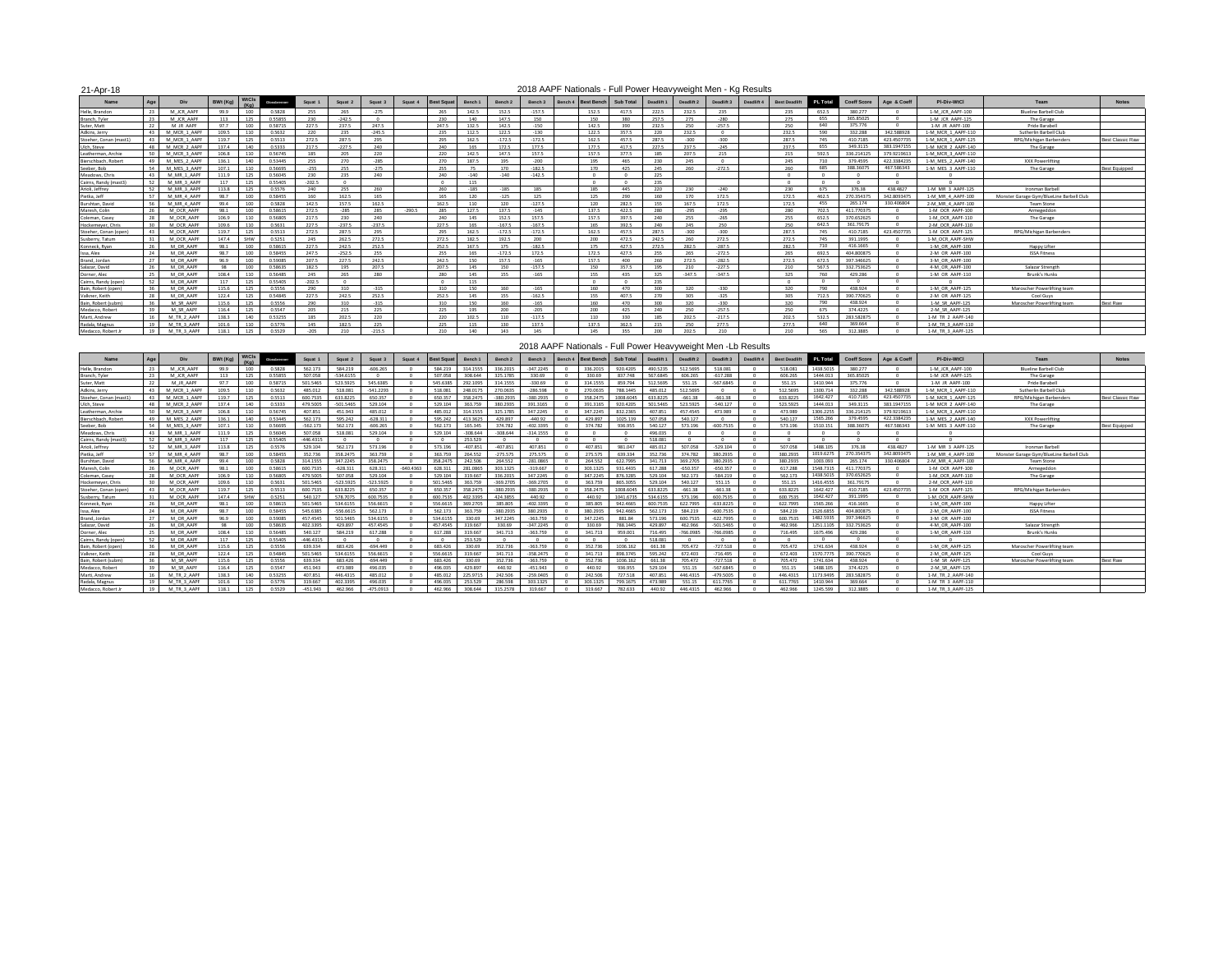| $21 - \Delta n r - 18$ |  |
|------------------------|--|
|                        |  |

#### 2018 AAPF Nationals - Full Power Heavyweight Men - Kg Results

| 21-Apr-18            |     |              | 2018 AAPF Nationals - Full Power Heavyweight Men - Kg Results<br><b>NtCls</b><br>Bench 3<br>Bench 4 Rest Rench<br>Sub Total<br>Div<br>Squat 1<br>Squat 2<br>Squat 3<br>Squat 4<br>BWt (Ka)<br>Bench 1<br>Bench 2<br>Glosabrenner<br>$(K_{C})$<br>0.5828<br>265<br>$-275$<br>$-157.5$<br>99.9<br>100<br>255<br>265<br>142.5<br>152.5<br>152.5<br>417.5 |            |         |          |          |          |         |       |                  |          |          |  |       |       |            |            |            |                                    |          |             |             |                    |                                          |                         |
|----------------------|-----|--------------|-------------------------------------------------------------------------------------------------------------------------------------------------------------------------------------------------------------------------------------------------------------------------------------------------------------------------------------------------------|------------|---------|----------|----------|----------|---------|-------|------------------|----------|----------|--|-------|-------|------------|------------|------------|------------------------------------|----------|-------------|-------------|--------------------|------------------------------------------|-------------------------|
| Name                 | Age |              |                                                                                                                                                                                                                                                                                                                                                       |            |         |          |          |          |         |       |                  |          |          |  |       |       | Deadlift 1 | Deadlift 2 | Deadlift 3 | Deadlift 4<br><b>Best Deadlift</b> | PL Total | Coeff Score | Age & Coeff | PI-Div-WtCl        | Team                                     | <b>Notes</b>            |
| Helle, Brandon       | 23  | M JCR AAPF   |                                                                                                                                                                                                                                                                                                                                                       |            |         |          |          |          |         |       |                  |          |          |  |       |       | 222.5      | 232.5      | 235        | 235                                | 652.5    | 380,277     |             | 1-M JCR AAPF-100   | <b>Blueline Barbell Club</b>             |                         |
| Branch, Tyler        | 23  | M JCR AAPF   | 113                                                                                                                                                                                                                                                                                                                                                   | 125        | 0.55855 | 230      | $-242.5$ |          |         | 230   | 140              | 147.5    | 150      |  | 150   | 380   | 257.5      | 275        | $-280$     | 275                                | 655      | 365,85025   |             | 1-M JCR AAPF-125   | The Garage                               |                         |
| Suter Matt           | 22  | M IR AAPE    | 97.7                                                                                                                                                                                                                                                                                                                                                  | 100        | 0.58715 | 227.5    | 2375     | 2475     |         | 2475  | 132.5            | 1425     | $-150$   |  | 142.5 | 390   | 2325       | 250        | $-2575$    | 250                                | 640      | 375,776     | $\sqrt{2}$  | 1-M IR AAPF-100    | Pride Barahell                           |                         |
| Adkins, Jerry        |     | M MCR 1 AAP  | 109.5                                                                                                                                                                                                                                                                                                                                                 | 110        | 0.5632  | 220      | 235      | $-245.5$ |         | 235   | 112.5            | 122.5    | $-130$   |  | 122.5 | 357.5 | 220        | 232.5      |            | 232.5                              | 590      | 332,288     | 342 588928  | 1-M MCR 1 AAPF-110 | Sutherlin Barbell Club                   |                         |
| Stoeber Conan (mast) |     | M MCR 1 AAPE | 1197                                                                                                                                                                                                                                                                                                                                                  | 125        | 0.5513  | 272.5    | 2875     | 295      |         | 295   | 162.5            | $-1725$  | $-1725$  |  | 162.5 | 457.5 | 287.5      | $-300$     | $-300$     | 2875                               | 745      | 410 7185    | 423 4507735 | 1-M MCR 1 AAPF-125 | <b>RPG/Michigan Barbenders</b>           | <b>Best Classic Raw</b> |
| Ulch, Steve          | 48  | M MCR 2 AAPE | 137.4                                                                                                                                                                                                                                                                                                                                                 | 140        | 0.5333  | 217.5    | $-227.5$ | 240      |         | 240   | 165              | 172.5    | 177.5    |  | 177.5 | 417.5 | 227.5      | 237.5      | $-245$     | 237.5                              | 655      | 349.3115    | 383 1947155 | 1-M MCR 2 AAPF-140 | The Garage                               |                         |
| Leatherman, Archie   | 50. | M MCR 3 AAPE | 106.8                                                                                                                                                                                                                                                                                                                                                 | 110        | 0.56745 | 185      | 205      | 220      |         | 220   | 142.5            | 147.5    | 157.5    |  | 157.5 | 377.5 | 185        | 207.5      | 215        | 215                                | 592.5    | 336.214125  | 379.9219613 | 1-M MCR 3 AAPF-110 |                                          |                         |
| Bierschbach, Robe    | 49  | M MES 2 AAPF | 136.1                                                                                                                                                                                                                                                                                                                                                 | 140        | 0.53445 | 255      | 270      | $-285$   |         | 270   | 187.5            | 195      | $-200$   |  | 195   | 465   | 230        | 245        |            | 245                                | 710      | 379,4595    | 422.3384235 | 1-M MES 2 AAPF-140 | XXX Powerlifting                         |                         |
| Seeber Rob           | 54  | M MFS 3 AAPE | 1071                                                                                                                                                                                                                                                                                                                                                  | 110        | 0.56695 | $-255$   | 255      | $-275$   |         | 255   |                  | 170      | $-1825$  |  | 170   | 425   | 245        | 260        | $-272.5$   | 260                                | 685      | 388, 36075  | 467.586343  | 1-M MES 3 AAPF-110 | The Garage                               | <b>Best Equipped</b>    |
| Meadows, Chris       | A2  | M MR 1 AAPF  | 111.9                                                                                                                                                                                                                                                                                                                                                 | 125        | 0.56045 | 230      | 235      | 240      |         | 240   | $-140$           | $-140$   | $-142.5$ |  |       |       | 225        |            |            |                                    |          |             |             |                    |                                          |                         |
| Cairns, Randy (mast3 | 52  | M MR 3 AAPE  | 117                                                                                                                                                                                                                                                                                                                                                   | 125        | 0.55405 | $-202.5$ |          |          |         |       | 115              |          |          |  |       |       | 235        |            |            | $\sqrt{2}$                         | $\sim$   | $\sqrt{2}$  | $\sqrt{2}$  |                    |                                          |                         |
| Arioli, Jeffrey      | 52  | M MR 3 AAPF  | 113.8                                                                                                                                                                                                                                                                                                                                                 | 125        | 0.5576  | 240      | 255      | 260      |         | 260   | $-185$           | $-185$   | 185      |  | 185   | 445   | 220        | 230        | $-240$     | 230                                | 675      | 376.38      | 438, 4827   | 1-M MR 3 AAPF-125  | Ironman Barbell                          |                         |
| Pietka, Jeff         | 57  | M MR 4 AAPR  | 98.7                                                                                                                                                                                                                                                                                                                                                  | 100        | 0.58455 | 160      | 162.5    | 165      |         | 165   | 120              | $-125$   | 125      |  | 125   | 290   | 160        | 170        | 172.5      | 172.5                              | 462.5    | 270.35437   | 342.809347  | 1-M MR 4 AAPF-100  | Monster Garage Gym/BlueLine Barbell Club |                         |
| Burshtan, David      | 56  | M MR 4 AAPF  | 99.4                                                                                                                                                                                                                                                                                                                                                  | 100        | 0.5828  | 142.5    | 157.5    | 162.5    |         | 162.5 | 110              | 120      | $-127.5$ |  | 120   | 282.5 | 155        | 167.5      | 172.5      | 172.5                              | 455      | 265.174     | 330.406804  | 2-M MR 4 AAPF-100  | <b>Team Stone</b>                        |                         |
| Maresh, Colin        | 26  | M OCR AAPF   | 98.1                                                                                                                                                                                                                                                                                                                                                  | 100        | 0.58615 | 272.5    | $-285$   | 285      | $-2905$ | 285   | 127.5            | 137.5    | $-145$   |  | 1375  | 422.5 | 280        | $-295$     | $-295$     | 280                                | 702.5    | 411.770375  | $\sqrt{2}$  | 1-M OCR AAPF-100   | Armegeddon                               |                         |
| Coleman, Casey       | 28  | M OCR AAPF   | 106.9                                                                                                                                                                                                                                                                                                                                                 | 110        | 0.56805 | 217.5    | 230      | 240      |         | 240   | 145              | 152.5    | 157.5    |  | 157.5 | 397.5 | 240        | 255        | $-265$     | 255                                | 652.5    | 370.652625  | $\sim$      | 1-M OCR AAPF-110   | The Garage                               |                         |
| Hockemever, Chris    |     | M OCR AAPF   | 109.6                                                                                                                                                                                                                                                                                                                                                 | 110        | 0.5631  | 227.5    | $-237.5$ | $-237.5$ |         | 227.5 | 165              | $-167.5$ | $-167.5$ |  | 165   | 392.5 | 240        | 245        | 250        | 250                                | 642.5    | 361.79175   | $\sqrt{2}$  | 2-M OCR AAPF-110   |                                          |                         |
| Stoeher, Conan (ope  | 43  | M OCR AAPF   | 119.7                                                                                                                                                                                                                                                                                                                                                 | 125        | 0.5513  | 272.5    | 287.5    | 295      |         | 295   | 162.5            | $-172.5$ | $-172.5$ |  | 162.5 | 457.5 | 287.5      | $-300$     | $-300$     | 287.5                              | 745      | 410,7185    | 423.4507735 | 1-M OCR AAPF-125   | RPG/Michigan Barbenders                  |                         |
| Susberry, Tatum      |     | M OCR AAPF   | 147.4                                                                                                                                                                                                                                                                                                                                                 | <b>SHW</b> | 0.5251  | 245      | 262.5    | 272.5    |         | 272.5 | 182.5            | 192.5    | 200      |  | 200   | 472.5 | 242.5      | 260        | 272.5      | 272.5                              | 745      | 391.1995    |             | 1-M OCR AAPF-SHW   |                                          |                         |
| Konneck, Ryan        |     | M OR AAPE    | 98.1                                                                                                                                                                                                                                                                                                                                                  | $100 -$    | 0.58615 | 2275     | 2425     | 252.5    |         | 252.5 | 167 <sup>5</sup> | 175      | $-1825$  |  | 175   | 427.5 | 2725       | 282.5      | $-2875$    | 282.5                              | 710      | 416.1665    |             | 1-M OR AAPF-100    | Happy Lifter                             |                         |
| ssa Alex             | 24  | M OR AAPE    | 98.7                                                                                                                                                                                                                                                                                                                                                  | 100        | 0.58455 | 247.5    | $-252.5$ | 255      |         | 255   | 165              | $-1725$  | 172.5    |  | 1725  | 427.5 | 255        | 265        | $-272.5$   | 265                                | 692.5    | 404.800875  |             | 2-M OR AAPF-100    | <b>ISSA Fitness</b>                      |                         |
| Brand, Jordan        | 27  | M OR AAPF    | 96.9                                                                                                                                                                                                                                                                                                                                                  | 100        | 0.59085 | 207.5    | 227.5    | 242.5    |         | 242.5 | 150              | 157.5    | $-165$   |  | 157.5 | 400   | 260        | 272.5      | $-282.5$   | 272.5                              | 672.5    | 397.346625  |             | 3-M OR AAPF-100    |                                          |                         |
| Salazar, David       | 26  | M OR AAPF    | 98                                                                                                                                                                                                                                                                                                                                                    | 100        | 0.58635 | 182.5    | 195      | 207.5    |         | 207.5 | 145              | 150      | $-157.5$ |  | 150   | 357.5 | 195        | 210        | $-227.5$   | 210                                | 567.5    | 332,753625  |             | 4-M OR AAPF-100    | Salazar Strength                         |                         |
| Dorner, Alec         |     | M OR AAPF    | 108.4                                                                                                                                                                                                                                                                                                                                                 | 110        | 0.56485 | 245      | 265      | 280      |         | 280   | 145              | 155      | $-165$   |  | 155   | 435   | 325        | $-347.5$   | $-347.5$   | 325                                | 760      | 429,286     |             | 1-M OR AAPF-110    | <b>Brunk's Hunks</b>                     |                         |
| Cairns, Randy (oper  |     | M OR AAPE    | 117                                                                                                                                                                                                                                                                                                                                                   | 125        | 0.55405 | $-202.5$ |          |          |         |       | 115              |          |          |  |       |       | 235        |            |            |                                    | $\sim$   | $\sim$      |             |                    |                                          |                         |
| Bain, Robert (open   |     | M OR AAPE    | 115.6                                                                                                                                                                                                                                                                                                                                                 | 125        | 0.5556  | 290      | 210      | $-315$   |         | 310   | 150              | 160      | $-165$   |  | 160   | 470   | 200        | 320        | $-330$     | 220                                | 790      | 438,924     |             | 1-M OR AAPF-125    | Maroscher Powerlifting team              |                         |
| Valkner Keith        |     | M OR AAPI    | 1224                                                                                                                                                                                                                                                                                                                                                  | 125        | 0.54845 | 227.5    | 242.5    | 252.5    |         | 252.5 | 145              | 155      | $-162.5$ |  | 155   | 407.5 | 270        | 305        | $-325$     | 205                                | 712.5    | 390 770625  | $\sqrt{2}$  | 2-M OR AAPF-125    | Cool Guys                                |                         |
| Bain, Robert (subm   |     | M SR AAPF    | 115.6                                                                                                                                                                                                                                                                                                                                                 | 125        | 0.5556  | 290      | 310      | $-315$   |         | 310   | 150              | 160      | $-165$   |  | 160   | 470   | 300        | 320        | $-330$     | 320                                | 790      | 438,924     |             | 1-M SR AAPF-125    | Maroscher Powerlifting team              | <b>Best Raw</b>         |
| Medacco, Robert      |     | M SR AAPE    | 116.4                                                                                                                                                                                                                                                                                                                                                 | 125        | 0.5547  | 205      | 215      | 225      |         | 225   | 195              | 200      | $-205$   |  | 200   | 425   | 240        | 250        | $-257.5$   | 250                                | 675      | 374.4225    |             | 2-M SR AAPF-125    |                                          |                         |
| Marti, Andrew        | 16  | M TR 2 AAPE  | 138.3                                                                                                                                                                                                                                                                                                                                                 | 140        | 0.53255 | 185      | 202.5    | 220      |         | 220   | 102.5            | 110      | $-117.5$ |  | 110   | 330   | 185        | 202.5      | $-217.5$   | 202.5                              | 532.5    | 283.582875  |             | 1-M TR 2 AAPF-140  |                                          |                         |
| Radala, Magnus       | 19  | M TR 3 AAPE  | 101.6                                                                                                                                                                                                                                                                                                                                                 | 110        | 0.5776  | 145      | 182.5    | 225      |         | 225   | 115              | 130      | 137.5    |  | 137.5 | 362.5 | 215        | 250        | 2775       | 2775                               | 640      | 369.664     | $\sqrt{2}$  | 1-M TR 3 AAPF-110  |                                          |                         |
| Medacco, Robert J    |     | M TR 3 AAPF  | 118.1                                                                                                                                                                                                                                                                                                                                                 | 125        | 0.5529  | $-205$   | 210      | $-215.5$ |         | 210   | 140              | 143      | 145      |  | 145   | 355   | 200        | 202.5      | 210        | 210                                | 565      | 312,3885    |             | 1-M TR 3 AAPF-125  |                                          |                         |
|                      |     |              |                                                                                                                                                                                                                                                                                                                                                       |            |         |          |          |          |         |       |                  |          |          |  |       |       |            |            |            |                                    |          |             |             |                    |                                          |                         |

#### 2018 AAPF Nationals - Full Power Heavyweight Men -Lb Results

| Name                   | Age   | Div          | BWt (Kg) | <b>WiCls</b><br>$(K_{C})$ | Glossbrenner | Squat 1     | Squat 2     | Squat 3     | Squat 4   | <b>Best Squa</b> | Bench 1    | Bench <sub>2</sub> | Bench 3        | Bench 4 Best Bench | Sub Total | Deadlift 1 | Deadlift 2  | Deadlift 3  | Deadlift 4 | <b>Best Deadlift</b> | PI Total  | Coeff Score | Age & Coeff | PI-Div-WtCl        | Team                                     | <b>Notes</b>            |
|------------------------|-------|--------------|----------|---------------------------|--------------|-------------|-------------|-------------|-----------|------------------|------------|--------------------|----------------|--------------------|-----------|------------|-------------|-------------|------------|----------------------|-----------|-------------|-------------|--------------------|------------------------------------------|-------------------------|
| Helle Brandon          |       | M ICR AAPE   | 99.9     | 100                       | 0.5828       | 562 173     | 584,219     | 285.808-    |           | 584 219          | 314 1555   | 336.2015           | 347.2245       | 336.2015           | 920 4205  | 490 5235   | 512 5695    | 518.081     |            | 518.081              | 1438 5015 | 380 277     |             | 1-M ICR AAPF-100   | <b>Blueline Barbell Club</b>             |                         |
| <b>Rranch Tyler</b>    | 23    | M ICR AAPE   | 113      | 125                       | 0.55855      | 507.058     | -534 6155   |             |           | 507.058          | 308 644    | 325 1785           | 330.69         | 330.69             | 837 748   | 567 6845   | 606.265     | $-617.288$  |            | 606.265              | 1444 013  | 365,85025   |             | 1-M ICR AAPF-125   | The Garage                               |                         |
| Suter Matt             |       | M IR AAPF    | 977      | $100 -$                   | 0.58715      | 501 5465    | 523 5925    | 545,6385    |           | 545,6385         | 292 1095   | 314 1555           | <b>PA 0EE-</b> | 314 1555           | 859 794   | 512,5695   |             | 567 6845    |            | 551.15               | 1410.944  | 375,776     | $\sim$      | 1-M IR AAPF-100    | Pride Barabell                           |                         |
| Adkins, Jerry          | 43    | M MCR 1 AAPE | 109.5    | 110                       | 0.5632       | 485.012     | 518.081     | $-5412293$  |           | 518.081          | 248 0175   | 270.0635           | 892 385-       | 270.0635           | 788 1445  | 485.012    | 512 5695    |             |            | 512,5695             | 1300.714  | 332,288     | 342.588928  | 1-M MCR 1 AAPF-110 | Sutherlin Barhell Club                   |                         |
| Stoeher, Conan (mast1) | 43    | M MCR 1 AAPE | 1197     | 125                       | 0.5513       | 600.7535    | 633 8225    | 650.357     |           | 650 357          | 358 2475   | $-380.2935$        | $-380.2935$    | 358 2475           | 1008 6045 | 633 8225   | $-661.38$   | $-661.38$   |            | 633 8225             | 1642 427  | 410 7185    | 423 4507735 | 1-M MCR 1 AAPF-125 | RPG/Michigan Barbender                   | <b>Best Classic Raw</b> |
| Ulch, Steve            | 48    | M MCR 2 AAPF | 137.4    | 140                       | 0.5333       | 479,5005    | $-501.5465$ | 529.104     |           | 529.104          | 363,759    | 380.2935           | 391.3165       | 391.3165           | 920,4205  | 501.5465   | 523,5925    | $-540.127$  |            | 523.5925             | 1444.013  | 349, 3115   | 383.1947155 | 1-M MCR 2 AAPF-140 | The Garage                               |                         |
| Leatherman, Archi      | 50    | M MCR 3 AAPF | 106.8    | 110                       | 0.56745      | 407.851     | 451.943     | 485.012     |           | 485.012          | 314,1555   | 325.1785           | 347.2245       | 347.2245           | 832.2365  | 407.851    | 457,4545    | 473.989     |            | 473,989              | 1306.2255 | 336.214129  | 379.921961  | 1-M MCR 3 AAPF-110 |                                          |                         |
| Bierschbach, Rober     | 49    | M MES 2 AAPF | 136.1    | 140                       | 0.53445      | 562.173     | 595.242     | $-628.311$  |           | 595.242          | 413,3625   | 429.897            | $-440.92$      | 429.897            | 1025.139  | 507,058    | 540.127     |             |            | 540.127              | 1565.266  | 379,4595    | 422.338423  | 1-M MES 2 AAPF-140 | XXX Powerlifting                         |                         |
| Seeber, Bob            | 54    | M MFS 3 AAPE | 107.1    | 110                       | 0.56695      | $-562.173$  | 562.173     | $-606.265$  |           | 562.173          | 165 345    | 374 782            | 402.3395       | 374,782            | 936.955   | 540.127    | 573.196     | $-600.7535$ |            | 573.196              | 1510.151  | 388, 3607   | 467.586343  | 1-M MES 3 AAPF-110 | The Garage                               | <b>Best Equipped</b>    |
| Meadows, Chris         | A2    | M MR 1 AAPF  | 111.9    | 125                       | 0.56045      | 507.058     | 518,081     | 529 104     |           | 529 104          | $-308644$  | $-308644$          | $-314.1555$    |                    |           | 496.035    |             |             |            |                      |           |             |             |                    |                                          |                         |
| Cairns, Randy (mast    | 52    | M MR 3 AAPF  | 117      | 125                       | 0.55405      | $-446.4315$ |             |             |           |                  | 253,529    |                    |                |                    |           | 518,081    |             |             |            |                      |           |             |             |                    |                                          |                         |
| Arioli, Jeffrey        |       | M MR 3 AAPF  | 113.8    | 125                       | 0.5576       | 529.104     | 562.173     | 573.196     |           | 573.196          | $-407.851$ | $-407.851$         | 407.851        | 407.851            | 981.047   | 485,012    | 507.058     | $-529.104$  |            | 507.058              | 1488.105  | 376.38      | 438 4827    | 1-M MR 3 AAPF-125  | Ironman Barbell                          |                         |
| Pietka, Jeff           |       | M MR 4 AAPF  | 98.7     | 100                       | 0.58455      | 352.736     | 358.2475    | 363,759     |           | 363,759          | 264.552    | $-275.575$         | 275.575        | 275.575            | 639.334   | 352.736    | 374,782     | 380.2935    |            | 380,2935             | 1019.6275 | 270.35437   | 342.809347  | 1-M MR 4 AAPF-100  | Monster Garage Gym/BlueLine Barbell Club |                         |
| Burshtan, David        | 56    | M MR 4 AAPF  | 99 A     | 100                       | 0.5828       | 314,1555    | 347.2245    | 358 2475    |           | 358,2475         | 242,506    | 264,552            | $-281.0865$    | 264,552            | 622.7995  | 341,713    | 369,2705    | 380.2935    |            | 380 2935             | 1003 093  | 265.174     | 330 406804  | 2-M MR 4 AAPF-100  | Team Stone                               |                         |
| Maresh, Colin          |       | M OCR AAPE   | 98.1     | $100 -$                   | 0.59615      | 600 7535    | $-628311$   | 628 311     | Farb 04-6 | 628 311          | 281,0865   | 202 1225           | $-319667$      | 303 1325           | 931 4435  | 617 288    | $-650357$   | $-650357$   |            | 617.28               | 1548.7315 | 411,770375  |             | 1-M OCR AAPF-100   | Armegeddon                               |                         |
| Coleman, Casey         | 28    | M OCR AAPR   | 106.9    | 110                       | 0.56805      | 479 5005    | 507.058     | 529 104     |           | 529 104          | 319.667    | 336.2015           | 347 2245       | 347 2245           | 8763285   | 529 104    | 562 173     | $-584.219$  |            | 562 173              | 1438.5015 | 370.652625  |             | 1-M OCR AAPF-110   | The Garage                               |                         |
| Hockemever, Chris      |       | M OCR AAPF   | 109.6    | 110                       | 0.5631       | 501.5465    | $-523.5925$ | $-523.5925$ |           | 501.5465         | 363,759    | $-369.2705$        | $-369.2705$    | 363,759            | 865,3055  | 529,104    | 540.127     | 551.15      |            | 551.15               | 1416.4555 | 361.79175   |             | 2-M OCR AAPF-110   |                                          |                         |
| Stoeher, Conan (oper   | 43    | M OCR AAPR   | 1197     | 125                       | 0.5513       | 600.7535    | 633.8225    | 650.357     |           | 650.357          | 358 2475   | $-380.2935$        | $-380.2935$    | 358,2475           | 1008.6045 | 633 8225   | $-661.38$   | $-661.38$   |            | 633,8225             | 1642.427  | 410 7185    | 423 4507735 | 1-M OCR AAPF-125   | RPG/Michigan Barbender                   |                         |
| Susberry, Tatum        | $-31$ | M OCR AAPE   | 1474     | SHW                       | 0.5251       | 540.127     | 578,7075    | 600 7535    |           | 600.7535         | 402,3395   | 424 3855           | 440.92         | 440.92             | 1041.6735 | 534 6155   | 573 196     | 600 7535    |            | 600 7535             | 1642 427  | 391 1995    |             | 1-M OCR AAPF-SHW   |                                          |                         |
| Conneck Ryan           | 26    | M OR AAPE    | 98.1     | $100 -$                   | 0.58615      | 501 5465    | 534 6155    | 556 6615    |           | 556.6615         | 369 2705   | 385,805            | -402 3395      | 385,805            | 942, 4665 | 600 7535   | 622,7995    | $-633.8225$ |            | 622 7995             | 1565.266  | 416 1665    |             | 1-M OR AAPF-100    | Happy Lifter                             |                         |
| Issa, Alex             |       | M OR AAPF    | 98.7     | 100                       | 0.58455      | 545,6385    | $-556.6615$ | 562.173     |           | 562.173          | 363,759    | $-380.2935$        | 380.2935       | 380,2935           | 942,4665  | 562.173    | 584,219     | $-600.7535$ |            | 584,219              | 1526.6855 | 404,800875  |             | 2-M OR AAPF-100    | <b>ISSA Fitness</b>                      |                         |
| Brand, Jordan          |       | M OR AAPE    | 96.9     | 100                       | 0.59085      | 457.4545    | 501.5465    | 534.6155    |           | 534,6155         | 330.69     | 347.2245           | $-363.759$     | 347.2245           | 881.84    | 573.196    | 600.7535    | $-622.7995$ |            | 600 7535             | 1482.5935 | 297 346625  |             | 3-M OR AAPF-100    |                                          |                         |
| Salazar, David         | 26    | M OR AAPE    | 98       | 100                       | 0.58635      | 402.3395    | 429,897     | 457,4545    |           | 457 4545         | 319.667    | 330.69             | $-347.2245$    | 330.69             | 788.1445  | 429,897    | 462,966     | $-5015465$  |            | 462.966              | 1251.1105 | 332.753625  |             | 4-M OR AAPF-100    | Salazar Strength                         |                         |
| Dorner, Alec           |       | M OR AAPF    | 108.4    | 110                       | 0.56485      | 540.127     | 584,219     | 617,288     |           | 617.288          | 319.667    | 341,713            | $-363.759$     | 341,713            | 959.001   | 716,495    | $-766.0985$ | $-766.0985$ |            | 716,495              | 1675.496  | 429,286     |             | 1-M OR AAPF-110    | Brunk's Hunks                            |                         |
| Cairns, Randy (op      |       | M OR AAPE    | 117      | 125                       | 0.55405      | $-446.4319$ |             |             |           |                  | 253.529    |                    |                |                    |           | 518.081    |             |             |            |                      |           |             |             |                    |                                          |                         |
| Bain, Robert (open     |       | M OR AAPE    | 115.6    | 125                       | 0.5556       | 639.334     | 683 426     | PAA 449-    |           | 683,426          | 330.69     | 352.736            | $-363759$      | 352 736            | 1036 162  | 661.39     | 705 472     | $-727518$   |            | 705 472              | 1741.634  | 438,924     |             | 1-M OR AAPF-125    | Maroscher Powerlifting team              |                         |
| Valkner Keith          | 28    | M OR AAPE    | 122.4    | 125                       | 0.54845      | 501.5465    | 534 6155    | 556,6615    |           | 556.6615         | 319.667    | 341,713            | -358.2475      | 341,713            | 898 3745  | 595.242    | 672,403     | $-716.495$  |            | 672,403              | 1570 7775 | 390 770625  |             | 2-M OR AAPF-125    | Cool Guys                                |                         |
| Bain, Robert (subm     | 36    | M SR AAPE    | 115.6    | 125                       | 0.5556       | 639.334     | 683,426     | $-694.449$  |           | 683 426          | 330.69     | 352,736            | $-363.759$     | 352.736            | 1036.162  | 661.38     | 705.472     | $-727.518$  |            | 705,472              | 1741.634  | 438 924     |             | 1-M SR AAPF-125    | Maroscher Powerlifting team              | <b>Best Raw</b>         |
| Medacco, Robert        |       | M SR AAPF    | 116.4    | 125                       | 0.5547       | 451,943     | 473,989     | 496.035     |           | 496.035          | 429.897    | 440.92             | $-451.943$     | 440.92             | 936.955   | 529.104    | 551.15      | $-567.6845$ |            | 551.15               | 1488.105  | 374.4225    |             | 2-M SR AAPF-125    |                                          |                         |
| Marti, Andrew          |       | M TR 2 AAPF  | 138.3    | 140                       | 0.53255      | 407.851     | 446,4315    | 485.012     |           | 485.012          | 225.9715   | 242,506            | $-259.0405$    | 242.506            | 727.518   | 407.851    | 446,4315    | $-479.5005$ |            | 446,4315             | 1173.9495 | 283.582875  |             | 1-M TR 2 AAPF-140  |                                          |                         |
| Radala, Magnus         |       | M TR 3 AAPF  | 101.6    | 110                       |              | 319.667     | 402 3395    | 496.035     |           | 496.035          | 253 529    | 286.598            | 303 1325       | 303 1325           | 799 1675  | 473,989    |             | 611 7765    |            | 611 776              | 1410.944  | 369,664     |             | 1-M TR 3 AAPF-110  |                                          |                         |
| Medacco, Robert,       | 19    | M TR 3 AAPF  |          | 125                       |              | 451 943     | 462.966     | $-475.0913$ |           | 462.966          | 208 644    |                    | 219.667        | 319.667            | 787 622   | 440.92     | 446.43      | 462.966     |            |                      | 1245.599  | 312 3885    |             | 1-M TR 3 AAPF-125  |                                          |                         |